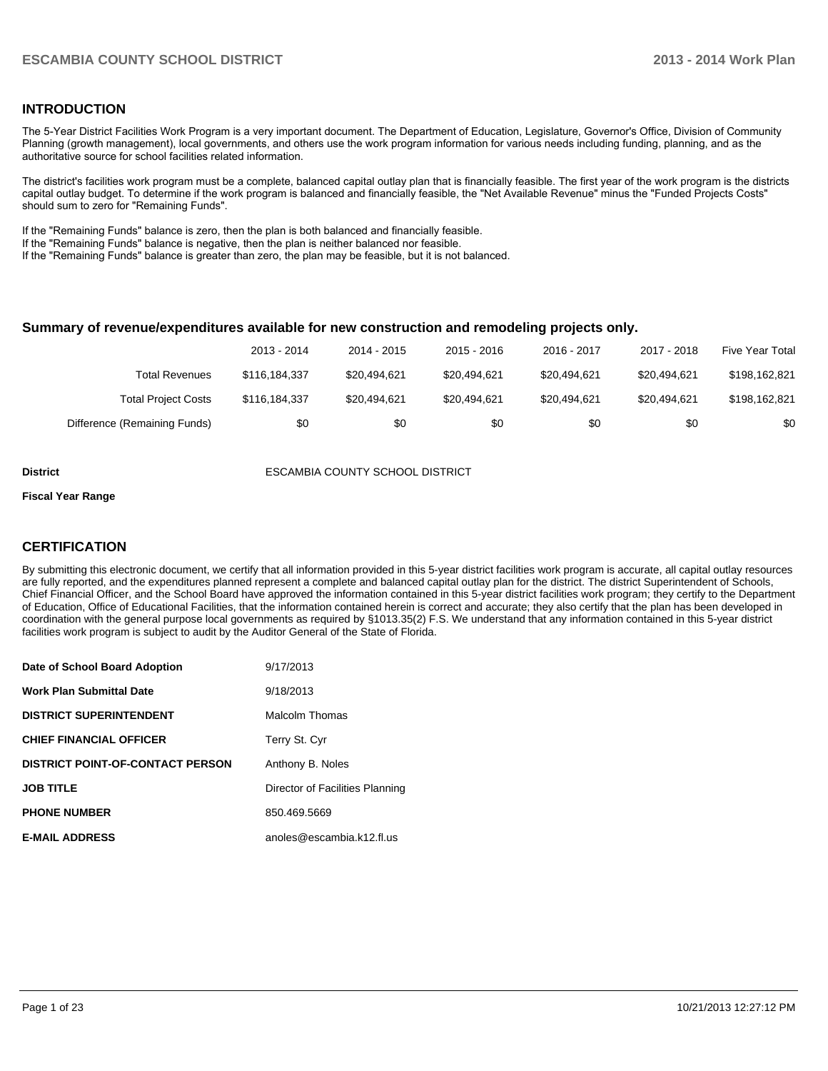# **INTRODUCTION**

The 5-Year District Facilities Work Program is a very important document. The Department of Education, Legislature, Governor's Office, Division of Community Planning (growth management), local governments, and others use the work program information for various needs including funding, planning, and as the authoritative source for school facilities related information.

The district's facilities work program must be a complete, balanced capital outlay plan that is financially feasible. The first year of the work program is the districts capital outlay budget. To determine if the work program is balanced and financially feasible, the "Net Available Revenue" minus the "Funded Projects Costs" should sum to zero for "Remaining Funds".

If the "Remaining Funds" balance is zero, then the plan is both balanced and financially feasible.

If the "Remaining Funds" balance is negative, then the plan is neither balanced nor feasible.

If the "Remaining Funds" balance is greater than zero, the plan may be feasible, but it is not balanced.

### **Summary of revenue/expenditures available for new construction and remodeling projects only.**

|                              | 2013 - 2014   | 2014 - 2015  | $2015 - 2016$ | 2016 - 2017  | 2017 - 2018  | Five Year Total |
|------------------------------|---------------|--------------|---------------|--------------|--------------|-----------------|
| Total Revenues               | \$116,184,337 | \$20.494.621 | \$20.494.621  | \$20.494.621 | \$20.494.621 | \$198,162,821   |
| <b>Total Project Costs</b>   | \$116,184,337 | \$20,494,621 | \$20.494.621  | \$20.494.621 | \$20.494.621 | \$198,162,821   |
| Difference (Remaining Funds) | \$0           | \$0          | \$0           | \$0          | \$0          | \$0             |

**District** ESCAMBIA COUNTY SCHOOL DISTRICT

#### **Fiscal Year Range**

# **CERTIFICATION**

By submitting this electronic document, we certify that all information provided in this 5-year district facilities work program is accurate, all capital outlay resources are fully reported, and the expenditures planned represent a complete and balanced capital outlay plan for the district. The district Superintendent of Schools, Chief Financial Officer, and the School Board have approved the information contained in this 5-year district facilities work program; they certify to the Department of Education, Office of Educational Facilities, that the information contained herein is correct and accurate; they also certify that the plan has been developed in coordination with the general purpose local governments as required by §1013.35(2) F.S. We understand that any information contained in this 5-year district facilities work program is subject to audit by the Auditor General of the State of Florida.

| Date of School Board Adoption           | 9/17/2013                       |
|-----------------------------------------|---------------------------------|
| <b>Work Plan Submittal Date</b>         | 9/18/2013                       |
| <b>DISTRICT SUPERINTENDENT</b>          | Malcolm Thomas                  |
| <b>CHIEF FINANCIAL OFFICER</b>          | Terry St. Cyr                   |
| <b>DISTRICT POINT-OF-CONTACT PERSON</b> | Anthony B. Noles                |
| <b>JOB TITLE</b>                        | Director of Facilities Planning |
| <b>PHONE NUMBER</b>                     | 850.469.5669                    |
| <b>E-MAIL ADDRESS</b>                   | anoles@escambia.k12.fl.us       |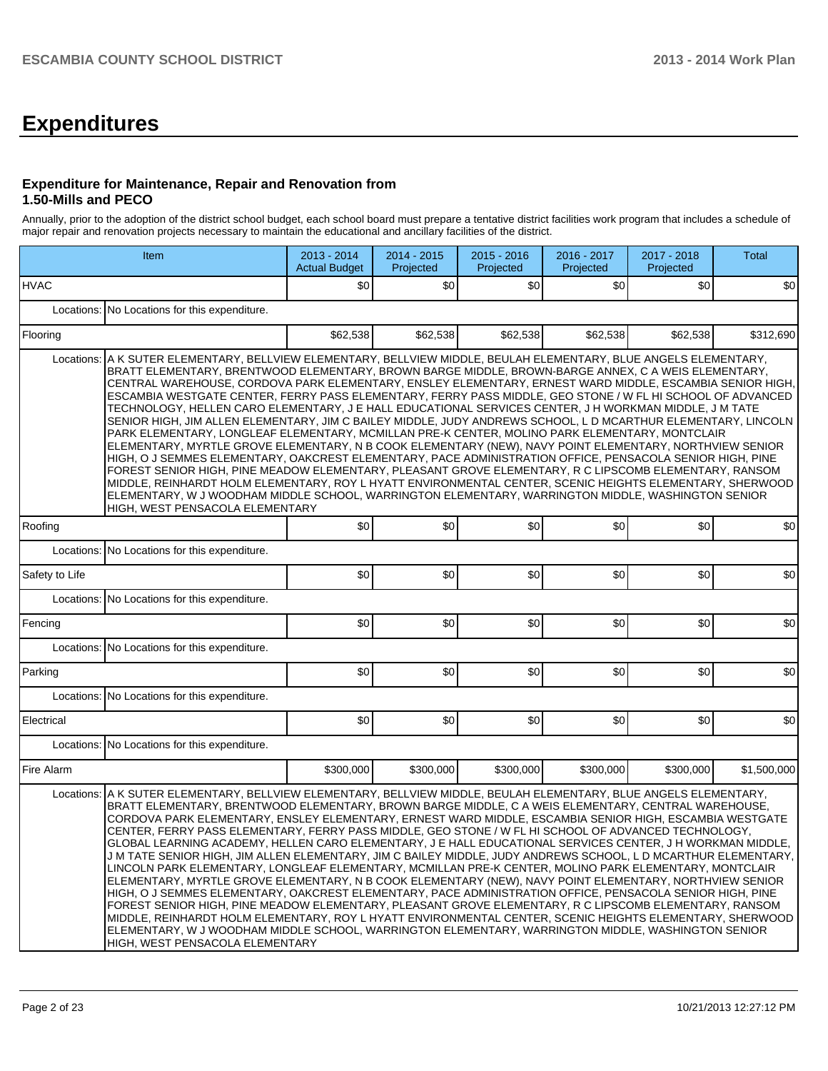# **Expenditures**

# **Expenditure for Maintenance, Repair and Renovation from 1.50-Mills and PECO**

Annually, prior to the adoption of the district school budget, each school board must prepare a tentative district facilities work program that includes a schedule of major repair and renovation projects necessary to maintain the educational and ancillary facilities of the district.

|                | Item                                                                                                                                                                                                                                                                                                                                                                                                                                                                                                                                                                                                                                                                                                                                                                                                                                                                                                                                                                                                                                                                                                                                                                                                                                                                                                                                                                                      | 2013 - 2014<br><b>Actual Budget</b> | $2014 - 2015$<br>Projected | $2015 - 2016$<br>Projected | 2016 - 2017<br>Projected | 2017 - 2018<br>Projected | Total       |  |  |  |  |
|----------------|-------------------------------------------------------------------------------------------------------------------------------------------------------------------------------------------------------------------------------------------------------------------------------------------------------------------------------------------------------------------------------------------------------------------------------------------------------------------------------------------------------------------------------------------------------------------------------------------------------------------------------------------------------------------------------------------------------------------------------------------------------------------------------------------------------------------------------------------------------------------------------------------------------------------------------------------------------------------------------------------------------------------------------------------------------------------------------------------------------------------------------------------------------------------------------------------------------------------------------------------------------------------------------------------------------------------------------------------------------------------------------------------|-------------------------------------|----------------------------|----------------------------|--------------------------|--------------------------|-------------|--|--|--|--|
| <b>HVAC</b>    |                                                                                                                                                                                                                                                                                                                                                                                                                                                                                                                                                                                                                                                                                                                                                                                                                                                                                                                                                                                                                                                                                                                                                                                                                                                                                                                                                                                           | \$0                                 | \$0                        | \$0                        | \$0                      | \$0                      | \$0         |  |  |  |  |
| Locations:     | No Locations for this expenditure.                                                                                                                                                                                                                                                                                                                                                                                                                                                                                                                                                                                                                                                                                                                                                                                                                                                                                                                                                                                                                                                                                                                                                                                                                                                                                                                                                        |                                     |                            |                            |                          |                          |             |  |  |  |  |
| Flooring       |                                                                                                                                                                                                                                                                                                                                                                                                                                                                                                                                                                                                                                                                                                                                                                                                                                                                                                                                                                                                                                                                                                                                                                                                                                                                                                                                                                                           | \$62,538                            | \$62,538                   | \$62,538                   | \$62,538                 | \$62,538                 | \$312,690   |  |  |  |  |
| Locations:     | A K SUTER ELEMENTARY, BELLVIEW ELEMENTARY, BELLVIEW MIDDLE, BEULAH ELEMENTARY, BLUE ANGELS ELEMENTARY,<br>BRATT ELEMENTARY, BRENTWOOD ELEMENTARY, BROWN BARGE MIDDLE, BROWN-BARGE ANNEX, C A WEIS ELEMENTARY,<br>CENTRAL WAREHOUSE, CORDOVA PARK ELEMENTARY, ENSLEY ELEMENTARY, ERNEST WARD MIDDLE, ESCAMBIA SENIOR HIGH,<br>ESCAMBIA WESTGATE CENTER, FERRY PASS ELEMENTARY, FERRY PASS MIDDLE, GEO STONE / W FL HI SCHOOL OF ADVANCED<br>TECHNOLOGY, HELLEN CARO ELEMENTARY, J E HALL EDUCATIONAL SERVICES CENTER, J H WORKMAN MIDDLE, J M TATE<br>SENIOR HIGH, JIM ALLEN ELEMENTARY, JIM C BAILEY MIDDLE, JUDY ANDREWS SCHOOL, L D MCARTHUR ELEMENTARY, LINCOLN<br>PARK ELEMENTARY, LONGLEAF ELEMENTARY, MCMILLAN PRE-K CENTER, MOLINO PARK ELEMENTARY, MONTCLAIR<br>ELEMENTARY, MYRTLE GROVE ELEMENTARY, N B COOK ELEMENTARY (NEW), NAVY POINT ELEMENTARY, NORTHVIEW SENIOR<br>HIGH, O J SEMMES ELEMENTARY, OAKCREST ELEMENTARY, PACE ADMINISTRATION OFFICE, PENSACOLA SENIOR HIGH, PINE<br>FOREST SENIOR HIGH, PINE MEADOW ELEMENTARY, PLEASANT GROVE ELEMENTARY, R C LIPSCOMB ELEMENTARY, RANSOM<br>MIDDLE, REINHARDT HOLM ELEMENTARY, ROY L HYATT ENVIRONMENTAL CENTER, SCENIC HEIGHTS ELEMENTARY, SHERWOOD<br>ELEMENTARY, W J WOODHAM MIDDLE SCHOOL, WARRINGTON ELEMENTARY, WARRINGTON MIDDLE, WASHINGTON SENIOR<br>HIGH, WEST PENSACOLA ELEMENTARY                               |                                     |                            |                            |                          |                          |             |  |  |  |  |
| Roofing        |                                                                                                                                                                                                                                                                                                                                                                                                                                                                                                                                                                                                                                                                                                                                                                                                                                                                                                                                                                                                                                                                                                                                                                                                                                                                                                                                                                                           | \$0                                 | \$0                        | \$0                        | \$0                      | \$0                      | \$0         |  |  |  |  |
|                | Locations: No Locations for this expenditure.                                                                                                                                                                                                                                                                                                                                                                                                                                                                                                                                                                                                                                                                                                                                                                                                                                                                                                                                                                                                                                                                                                                                                                                                                                                                                                                                             |                                     |                            |                            |                          |                          |             |  |  |  |  |
| Safety to Life |                                                                                                                                                                                                                                                                                                                                                                                                                                                                                                                                                                                                                                                                                                                                                                                                                                                                                                                                                                                                                                                                                                                                                                                                                                                                                                                                                                                           | \$0                                 | \$0                        | \$0                        | \$0                      | \$0                      | \$0         |  |  |  |  |
|                | Locations: No Locations for this expenditure.                                                                                                                                                                                                                                                                                                                                                                                                                                                                                                                                                                                                                                                                                                                                                                                                                                                                                                                                                                                                                                                                                                                                                                                                                                                                                                                                             |                                     |                            |                            |                          |                          |             |  |  |  |  |
| Fencing        |                                                                                                                                                                                                                                                                                                                                                                                                                                                                                                                                                                                                                                                                                                                                                                                                                                                                                                                                                                                                                                                                                                                                                                                                                                                                                                                                                                                           | \$0                                 | \$0                        | \$0                        | \$0                      | \$0                      | \$0         |  |  |  |  |
| Locations:     | No Locations for this expenditure.                                                                                                                                                                                                                                                                                                                                                                                                                                                                                                                                                                                                                                                                                                                                                                                                                                                                                                                                                                                                                                                                                                                                                                                                                                                                                                                                                        |                                     |                            |                            |                          |                          |             |  |  |  |  |
| Parking        |                                                                                                                                                                                                                                                                                                                                                                                                                                                                                                                                                                                                                                                                                                                                                                                                                                                                                                                                                                                                                                                                                                                                                                                                                                                                                                                                                                                           | \$0                                 | \$0                        | \$0                        | \$0                      | \$0                      | \$0         |  |  |  |  |
| Locations:     | No Locations for this expenditure.                                                                                                                                                                                                                                                                                                                                                                                                                                                                                                                                                                                                                                                                                                                                                                                                                                                                                                                                                                                                                                                                                                                                                                                                                                                                                                                                                        |                                     |                            |                            |                          |                          |             |  |  |  |  |
| Electrical     |                                                                                                                                                                                                                                                                                                                                                                                                                                                                                                                                                                                                                                                                                                                                                                                                                                                                                                                                                                                                                                                                                                                                                                                                                                                                                                                                                                                           | ا 30                                | \$0                        | \$0                        | \$0                      | \$0                      | \$0         |  |  |  |  |
| Locations:     | No Locations for this expenditure.                                                                                                                                                                                                                                                                                                                                                                                                                                                                                                                                                                                                                                                                                                                                                                                                                                                                                                                                                                                                                                                                                                                                                                                                                                                                                                                                                        |                                     |                            |                            |                          |                          |             |  |  |  |  |
| Fire Alarm     |                                                                                                                                                                                                                                                                                                                                                                                                                                                                                                                                                                                                                                                                                                                                                                                                                                                                                                                                                                                                                                                                                                                                                                                                                                                                                                                                                                                           | \$300,000                           | \$300.000                  | \$300,000                  |                          | \$300,000                | \$1,500,000 |  |  |  |  |
|                | \$300,000<br>Locations: A K SUTER ELEMENTARY, BELLVIEW ELEMENTARY, BELLVIEW MIDDLE, BEULAH ELEMENTARY, BLUE ANGELS ELEMENTARY,<br>BRATT ELEMENTARY, BRENTWOOD ELEMENTARY, BROWN BARGE MIDDLE, C A WEIS ELEMENTARY, CENTRAL WAREHOUSE,<br>CORDOVA PARK ELEMENTARY, ENSLEY ELEMENTARY, ERNEST WARD MIDDLE, ESCAMBIA SENIOR HIGH, ESCAMBIA WESTGATE<br>CENTER, FERRY PASS ELEMENTARY, FERRY PASS MIDDLE, GEO STONE / W FL HI SCHOOL OF ADVANCED TECHNOLOGY,<br>GLOBAL LEARNING ACADEMY, HELLEN CARO ELEMENTARY, J E HALL EDUCATIONAL SERVICES CENTER, J H WORKMAN MIDDLE,<br>J M TATE SENIOR HIGH, JIM ALLEN ELEMENTARY, JIM C BAILEY MIDDLE, JUDY ANDREWS SCHOOL, L D MCARTHUR ELEMENTARY,<br>LINCOLN PARK ELEMENTARY, LONGLEAF ELEMENTARY, MCMILLAN PRE-K CENTER, MOLINO PARK ELEMENTARY, MONTCLAIR<br>ELEMENTARY, MYRTLE GROVE ELEMENTARY, N B COOK ELEMENTARY (NEW), NAVY POINT ELEMENTARY, NORTHVIEW SENIOR<br>HIGH, O J SEMMES ELEMENTARY, OAKCREST ELEMENTARY, PACE ADMINISTRATION OFFICE, PENSACOLA SENIOR HIGH, PINE<br>FOREST SENIOR HIGH. PINE MEADOW ELEMENTARY. PLEASANT GROVE ELEMENTARY. R C LIPSCOMB ELEMENTARY. RANSOM<br>MIDDLE, REINHARDT HOLM ELEMENTARY, ROY L HYATT ENVIRONMENTAL CENTER, SCENIC HEIGHTS ELEMENTARY, SHERWOOD<br>ELEMENTARY, W J WOODHAM MIDDLE SCHOOL, WARRINGTON ELEMENTARY, WARRINGTON MIDDLE, WASHINGTON SENIOR<br>HIGH, WEST PENSACOLA ELEMENTARY |                                     |                            |                            |                          |                          |             |  |  |  |  |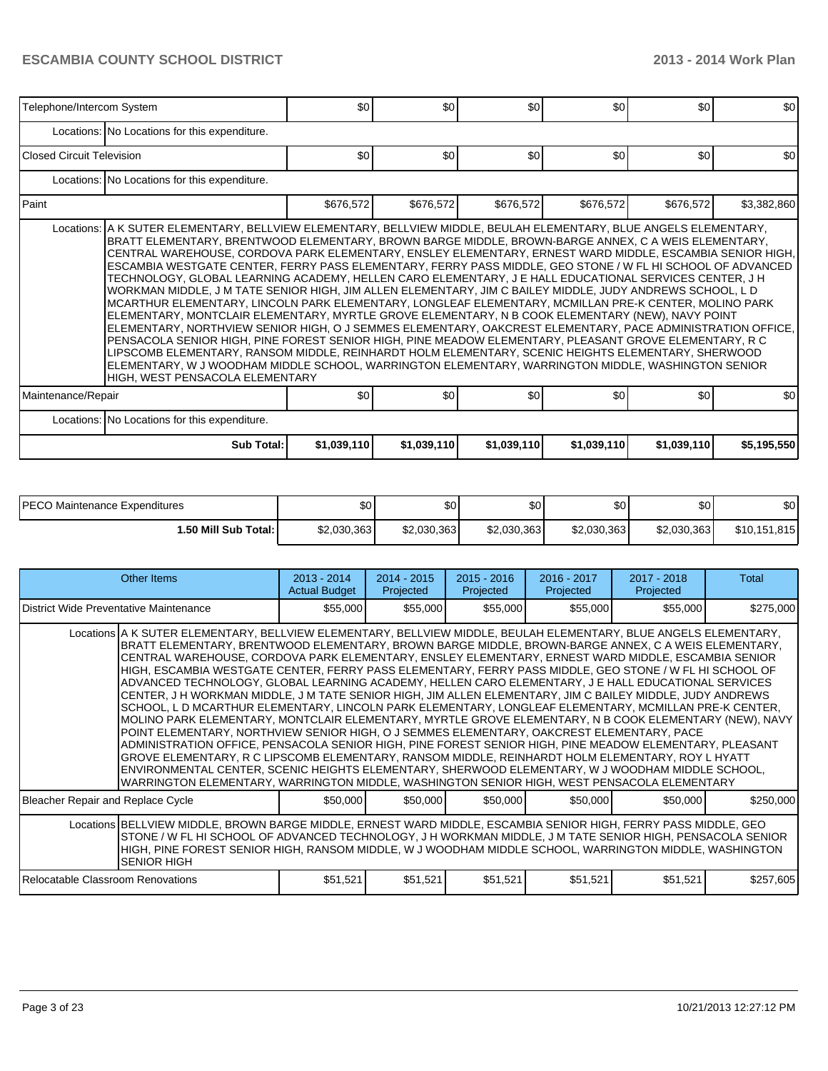| Telephone/Intercom System         |                                                                                                                                                                                                                                                                                                                                                                                                                                                                                                                                                                                                                                                                                                                                                                                                                                                                                                                                                                                                                                                                                                                                                                                                                                                                                                                                                                 | \$0         | \$0         | \$0         | \$0         | \$0         | \$0         |
|-----------------------------------|-----------------------------------------------------------------------------------------------------------------------------------------------------------------------------------------------------------------------------------------------------------------------------------------------------------------------------------------------------------------------------------------------------------------------------------------------------------------------------------------------------------------------------------------------------------------------------------------------------------------------------------------------------------------------------------------------------------------------------------------------------------------------------------------------------------------------------------------------------------------------------------------------------------------------------------------------------------------------------------------------------------------------------------------------------------------------------------------------------------------------------------------------------------------------------------------------------------------------------------------------------------------------------------------------------------------------------------------------------------------|-------------|-------------|-------------|-------------|-------------|-------------|
|                                   | Locations: No Locations for this expenditure.                                                                                                                                                                                                                                                                                                                                                                                                                                                                                                                                                                                                                                                                                                                                                                                                                                                                                                                                                                                                                                                                                                                                                                                                                                                                                                                   |             |             |             |             |             |             |
| <b>IClosed Circuit Television</b> |                                                                                                                                                                                                                                                                                                                                                                                                                                                                                                                                                                                                                                                                                                                                                                                                                                                                                                                                                                                                                                                                                                                                                                                                                                                                                                                                                                 | \$0         | \$0         | \$0         | \$0         | \$0         | \$0         |
|                                   | Locations: No Locations for this expenditure.                                                                                                                                                                                                                                                                                                                                                                                                                                                                                                                                                                                                                                                                                                                                                                                                                                                                                                                                                                                                                                                                                                                                                                                                                                                                                                                   |             |             |             |             |             |             |
| <b>Paint</b>                      |                                                                                                                                                                                                                                                                                                                                                                                                                                                                                                                                                                                                                                                                                                                                                                                                                                                                                                                                                                                                                                                                                                                                                                                                                                                                                                                                                                 | \$676,572   | \$676,572   | \$676,572   | \$676,572   | \$676,572   | \$3,382,860 |
|                                   | Locations:   A K SUTER ELEMENTARY, BELLVIEW ELEMENTARY, BELLVIEW MIDDLE, BEULAH ELEMENTARY, BLUE ANGELS ELEMENTARY,<br>BRATT ELEMENTARY, BRENTWOOD ELEMENTARY, BROWN BARGE MIDDLE, BROWN-BARGE ANNEX, C A WEIS ELEMENTARY,<br>CENTRAL WAREHOUSE, CORDOVA PARK ELEMENTARY, ENSLEY ELEMENTARY, ERNEST WARD MIDDLE, ESCAMBIA SENIOR HIGH,<br>ESCAMBIA WESTGATE CENTER, FERRY PASS ELEMENTARY, FERRY PASS MIDDLE, GEO STONE / W FL HI SCHOOL OF ADVANCED<br>TECHNOLOGY, GLOBAL LEARNING ACADEMY, HELLEN CARO ELEMENTARY, J E HALL EDUCATIONAL SERVICES CENTER, J H<br>WORKMAN MIDDLE, J M TATE SENIOR HIGH, JIM ALLEN ELEMENTARY, JIM C BAILEY MIDDLE, JUDY ANDREWS SCHOOL, L D<br>MCARTHUR ELEMENTARY, LINCOLN PARK ELEMENTARY, LONGLEAF ELEMENTARY, MCMILLAN PRE-K CENTER, MOLINO PARK<br>ELEMENTARY, MONTCLAIR ELEMENTARY, MYRTLE GROVE ELEMENTARY, N B COOK ELEMENTARY (NEW), NAVY POINT<br>ELEMENTARY, NORTHVIEW SENIOR HIGH, O J SEMMES ELEMENTARY, OAKCREST ELEMENTARY, PACE ADMINISTRATION OFFICE,<br>PENSACOLA SENIOR HIGH, PINE FOREST SENIOR HIGH, PINE MEADOW ELEMENTARY, PLEASANT GROVE ELEMENTARY, R C<br>LIPSCOMB ELEMENTARY, RANSOM MIDDLE, REINHARDT HOLM ELEMENTARY, SCENIC HEIGHTS ELEMENTARY, SHERWOOD<br>ELEMENTARY, W J WOODHAM MIDDLE SCHOOL, WARRINGTON ELEMENTARY, WARRINGTON MIDDLE, WASHINGTON SENIOR<br>HIGH, WEST PENSACOLA ELEMENTARY |             |             |             |             |             |             |
| Maintenance/Repair                |                                                                                                                                                                                                                                                                                                                                                                                                                                                                                                                                                                                                                                                                                                                                                                                                                                                                                                                                                                                                                                                                                                                                                                                                                                                                                                                                                                 | \$0         | \$0         | \$0         | \$0         | \$0         | \$0         |
|                                   | Locations: No Locations for this expenditure.                                                                                                                                                                                                                                                                                                                                                                                                                                                                                                                                                                                                                                                                                                                                                                                                                                                                                                                                                                                                                                                                                                                                                                                                                                                                                                                   |             |             |             |             |             |             |
|                                   | Sub Total:                                                                                                                                                                                                                                                                                                                                                                                                                                                                                                                                                                                                                                                                                                                                                                                                                                                                                                                                                                                                                                                                                                                                                                                                                                                                                                                                                      | \$1,039,110 | \$1,039,110 | \$1,039,110 | \$1,039,110 | \$1,039,110 | \$5,195,550 |

| IPECO Maintenance Expenditures | \$0         | \$0         | \$0         | \$0 <sub>0</sub> | \$0.        | \$0          |
|--------------------------------|-------------|-------------|-------------|------------------|-------------|--------------|
| 1.50 Mill Sub Total: I         | \$2,030,363 | \$2,030,363 | \$2,030,363 | \$2,030,363      | \$2.030.363 | \$10,151,815 |

|                                                                                                                                                                                                                                                                                                                                                              | Other Items                                                                                                                                                                                                                                                                                                                                                                                                                                                                                                                                                                                                                                                                                                                                                                                                                                                                                                                                                                                                                                                                                                                                                                                                                                                                                                                                                                                     | $2013 - 2014$<br><b>Actual Budget</b> | $2014 - 2015$<br>Projected | $2015 - 2016$<br>Projected | $2016 - 2017$<br>Projected | 2017 - 2018<br>Projected | Total     |  |  |
|--------------------------------------------------------------------------------------------------------------------------------------------------------------------------------------------------------------------------------------------------------------------------------------------------------------------------------------------------------------|-------------------------------------------------------------------------------------------------------------------------------------------------------------------------------------------------------------------------------------------------------------------------------------------------------------------------------------------------------------------------------------------------------------------------------------------------------------------------------------------------------------------------------------------------------------------------------------------------------------------------------------------------------------------------------------------------------------------------------------------------------------------------------------------------------------------------------------------------------------------------------------------------------------------------------------------------------------------------------------------------------------------------------------------------------------------------------------------------------------------------------------------------------------------------------------------------------------------------------------------------------------------------------------------------------------------------------------------------------------------------------------------------|---------------------------------------|----------------------------|----------------------------|----------------------------|--------------------------|-----------|--|--|
| District Wide Preventative Maintenance                                                                                                                                                                                                                                                                                                                       |                                                                                                                                                                                                                                                                                                                                                                                                                                                                                                                                                                                                                                                                                                                                                                                                                                                                                                                                                                                                                                                                                                                                                                                                                                                                                                                                                                                                 | \$55,000                              | \$55,000                   | \$55,000                   | \$55,000                   | \$55,000                 | \$275,000 |  |  |
|                                                                                                                                                                                                                                                                                                                                                              | Locations A K SUTER ELEMENTARY, BELLVIEW ELEMENTARY, BELLVIEW MIDDLE, BEULAH ELEMENTARY, BLUE ANGELS ELEMENTARY,<br>BRATT ELEMENTARY, BRENTWOOD ELEMENTARY, BROWN BARGE MIDDLE, BROWN-BARGE ANNEX, C A WEIS ELEMENTARY,<br>CENTRAL WAREHOUSE, CORDOVA PARK ELEMENTARY, ENSLEY ELEMENTARY, ERNEST WARD MIDDLE, ESCAMBIA SENIOR<br>HIGH, ESCAMBIA WESTGATE CENTER, FERRY PASS ELEMENTARY, FERRY PASS MIDDLE, GEO STONE / W FL HI SCHOOL OF<br>ADVANCED TECHNOLOGY, GLOBAL LEARNING ACADEMY, HELLEN CARO ELEMENTARY, J E HALL EDUCATIONAL SERVICES<br>CENTER, J H WORKMAN MIDDLE, J M TATE SENIOR HIGH, JIM ALLEN ELEMENTARY, JIM C BAILEY MIDDLE, JUDY ANDREWS<br>SCHOOL, L D MCARTHUR ELEMENTARY, LINCOLN PARK ELEMENTARY, LONGLEAF ELEMENTARY, MCMILLAN PRE-K CENTER,<br>MOLINO PARK ELEMENTARY, MONTCLAIR ELEMENTARY, MYRTLE GROVE ELEMENTARY, N B COOK ELEMENTARY (NEW), NAVY<br>IPOINT ELEMENTARY. NORTHVIEW SENIOR HIGH. O J SEMMES ELEMENTARY. OAKCREST ELEMENTARY. PACE<br>ADMINISTRATION OFFICE, PENSACOLA SENIOR HIGH, PINE FOREST SENIOR HIGH, PINE MEADOW ELEMENTARY, PLEASANT<br>GROVE ELEMENTARY, R C LIPSCOMB ELEMENTARY, RANSOM MIDDLE, REINHARDT HOLM ELEMENTARY, ROY L HYATT<br>ENVIRONMENTAL CENTER, SCENIC HEIGHTS ELEMENTARY, SHERWOOD ELEMENTARY, W J WOODHAM MIDDLE SCHOOL,<br>WARRINGTON ELEMENTARY, WARRINGTON MIDDLE, WASHINGTON SENIOR HIGH, WEST PENSACOLA ELEMENTARY |                                       |                            |                            |                            |                          |           |  |  |
| Bleacher Repair and Replace Cycle                                                                                                                                                                                                                                                                                                                            |                                                                                                                                                                                                                                                                                                                                                                                                                                                                                                                                                                                                                                                                                                                                                                                                                                                                                                                                                                                                                                                                                                                                                                                                                                                                                                                                                                                                 | \$50,000                              | \$50,000                   | \$50,000                   | \$50,000                   | \$50,000                 | \$250,000 |  |  |
| Locations BELLVIEW MIDDLE, BROWN BARGE MIDDLE, ERNEST WARD MIDDLE, ESCAMBIA SENIOR HIGH, FERRY PASS MIDDLE, GEO<br>STONE / W FL HI SCHOOL OF ADVANCED TECHNOLOGY, J H WORKMAN MIDDLE, J M TATE SENIOR HIGH, PENSACOLA SENIOR<br>HIGH, PINE FOREST SENIOR HIGH, RANSOM MIDDLE, W J WOODHAM MIDDLE SCHOOL, WARRINGTON MIDDLE, WASHINGTON<br><b>SENIOR HIGH</b> |                                                                                                                                                                                                                                                                                                                                                                                                                                                                                                                                                                                                                                                                                                                                                                                                                                                                                                                                                                                                                                                                                                                                                                                                                                                                                                                                                                                                 |                                       |                            |                            |                            |                          |           |  |  |
| Relocatable Classroom Renovations                                                                                                                                                                                                                                                                                                                            |                                                                                                                                                                                                                                                                                                                                                                                                                                                                                                                                                                                                                                                                                                                                                                                                                                                                                                                                                                                                                                                                                                                                                                                                                                                                                                                                                                                                 | \$51,521                              | \$51,521                   | \$51,521                   | \$51,521                   | \$51,521                 | \$257,605 |  |  |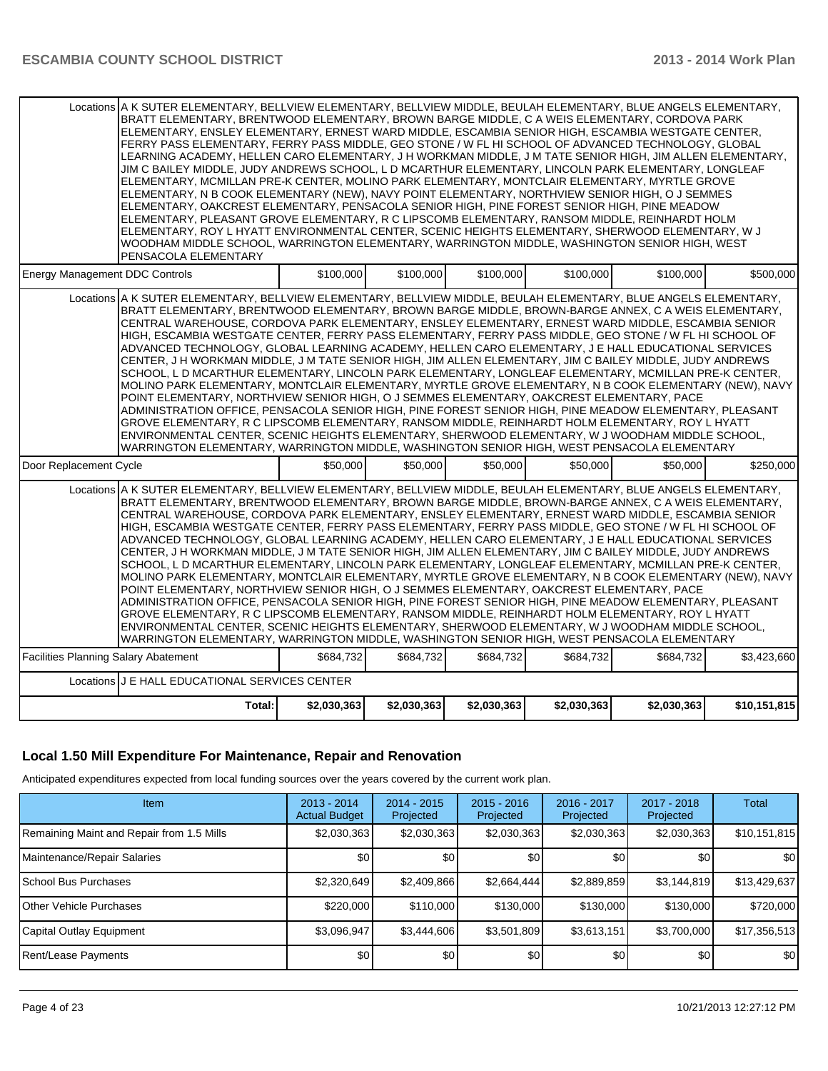| Locations A K SUTER ELEMENTARY, BELLVIEW ELEMENTARY, BELLVIEW MIDDLE, BEULAH ELEMENTARY, BLUE ANGELS ELEMENTARY,<br>BRATT ELEMENTARY, BRENTWOOD ELEMENTARY, BROWN BARGE MIDDLE, C A WEIS ELEMENTARY, CORDOVA PARK<br>ELEMENTARY, ENSLEY ELEMENTARY, ERNEST WARD MIDDLE, ESCAMBIA SENIOR HIGH, ESCAMBIA WESTGATE CENTER,<br>FERRY PASS ELEMENTARY, FERRY PASS MIDDLE, GEO STONE / W FL HI SCHOOL OF ADVANCED TECHNOLOGY, GLOBAL<br>LEARNING ACADEMY, HELLEN CARO ELEMENTARY, J H WORKMAN MIDDLE, J M TATE SENIOR HIGH, JIM ALLEN ELEMENTARY,<br>JIM C BAILEY MIDDLE, JUDY ANDREWS SCHOOL, L D MCARTHUR ELEMENTARY, LINCOLN PARK ELEMENTARY, LONGLEAF<br>ELEMENTARY, MCMILLAN PRE-K CENTER, MOLINO PARK ELEMENTARY, MONTCLAIR ELEMENTARY, MYRTLE GROVE<br>ELEMENTARY, N B COOK ELEMENTARY (NEW), NAVY POINT ELEMENTARY, NORTHVIEW SENIOR HIGH, O J SEMMES<br>ELEMENTARY, OAKCREST ELEMENTARY, PENSACOLA SENIOR HIGH, PINE FOREST SENIOR HIGH, PINE MEADOW<br>ELEMENTARY, PLEASANT GROVE ELEMENTARY, R C LIPSCOMB ELEMENTARY, RANSOM MIDDLE, REINHARDT HOLM<br>ELEMENTARY, ROY L HYATT ENVIRONMENTAL CENTER, SCENIC HEIGHTS ELEMENTARY, SHERWOOD ELEMENTARY, W J<br>WOODHAM MIDDLE SCHOOL, WARRINGTON ELEMENTARY, WARRINGTON MIDDLE, WASHINGTON SENIOR HIGH, WEST<br>PENSACOLA ELEMENTARY                                                                                                         |             |             |             |             |             |              |
|------------------------------------------------------------------------------------------------------------------------------------------------------------------------------------------------------------------------------------------------------------------------------------------------------------------------------------------------------------------------------------------------------------------------------------------------------------------------------------------------------------------------------------------------------------------------------------------------------------------------------------------------------------------------------------------------------------------------------------------------------------------------------------------------------------------------------------------------------------------------------------------------------------------------------------------------------------------------------------------------------------------------------------------------------------------------------------------------------------------------------------------------------------------------------------------------------------------------------------------------------------------------------------------------------------------------------------------------------------------------------------------------|-------------|-------------|-------------|-------------|-------------|--------------|
| <b>Energy Management DDC Controls</b>                                                                                                                                                                                                                                                                                                                                                                                                                                                                                                                                                                                                                                                                                                                                                                                                                                                                                                                                                                                                                                                                                                                                                                                                                                                                                                                                                          | \$100,000   | \$100,000   | \$100,000   | \$100,000   | \$100,000   | \$500,000    |
| Locations A K SUTER ELEMENTARY. BELLVIEW ELEMENTARY. BELLVIEW MIDDLE. BEULAH ELEMENTARY. BLUE ANGELS ELEMENTARY.<br>BRATT ELEMENTARY, BRENTWOOD ELEMENTARY, BROWN BARGE MIDDLE, BROWN-BARGE ANNEX, C A WEIS ELEMENTARY,<br>CENTRAL WAREHOUSE, CORDOVA PARK ELEMENTARY, ENSLEY ELEMENTARY, ERNEST WARD MIDDLE, ESCAMBIA SENIOR<br>HIGH, ESCAMBIA WESTGATE CENTER, FERRY PASS ELEMENTARY, FERRY PASS MIDDLE, GEO STONE / W FL HI SCHOOL OF<br>ADVANCED TECHNOLOGY, GLOBAL LEARNING ACADEMY, HELLEN CARO ELEMENTARY, J E HALL EDUCATIONAL SERVICES<br>CENTER, J H WORKMAN MIDDLE, J M TATE SENIOR HIGH, JIM ALLEN ELEMENTARY, JIM C BAILEY MIDDLE, JUDY ANDREWS<br>SCHOOL, L D MCARTHUR ELEMENTARY, LINCOLN PARK ELEMENTARY, LONGLEAF ELEMENTARY, MCMILLAN PRE-K CENTER,<br>MOLINO PARK ELEMENTARY, MONTCLAIR ELEMENTARY, MYRTLE GROVE ELEMENTARY, N B COOK ELEMENTARY (NEW), NAVY<br>POINT ELEMENTARY, NORTHVIEW SENIOR HIGH, O J SEMMES ELEMENTARY, OAKCREST ELEMENTARY, PACE<br>ADMINISTRATION OFFICE, PENSACOLA SENIOR HIGH, PINE FOREST SENIOR HIGH, PINE MEADOW ELEMENTARY, PLEASANT<br>GROVE ELEMENTARY, R C LIPSCOMB ELEMENTARY, RANSOM MIDDLE, REINHARDT HOLM ELEMENTARY, ROY L HYATT<br>ENVIRONMENTAL CENTER, SCENIC HEIGHTS ELEMENTARY, SHERWOOD ELEMENTARY, W J WOODHAM MIDDLE SCHOOL,<br>WARRINGTON ELEMENTARY, WARRINGTON MIDDLE, WASHINGTON SENIOR HIGH, WEST PENSACOLA ELEMENTARY |             |             |             |             |             |              |
| Door Replacement Cycle                                                                                                                                                                                                                                                                                                                                                                                                                                                                                                                                                                                                                                                                                                                                                                                                                                                                                                                                                                                                                                                                                                                                                                                                                                                                                                                                                                         | \$50,000    | \$50,000    | \$50,000    | \$50,000    | \$50,000    | \$250,000    |
| Locations A K SUTER ELEMENTARY, BELLVIEW ELEMENTARY, BELLVIEW MIDDLE, BEULAH ELEMENTARY, BLUE ANGELS ELEMENTARY,<br>BRATT ELEMENTARY, BRENTWOOD ELEMENTARY, BROWN BARGE MIDDLE, BROWN-BARGE ANNEX, C A WEIS ELEMENTARY,<br>CENTRAL WAREHOUSE, CORDOVA PARK ELEMENTARY, ENSLEY ELEMENTARY, ERNEST WARD MIDDLE, ESCAMBIA SENIOR<br>HIGH. ESCAMBIA WESTGATE CENTER. FERRY PASS ELEMENTARY. FERRY PASS MIDDLE. GEO STONE / W FL HI SCHOOL OF<br>ADVANCED TECHNOLOGY, GLOBAL LEARNING ACADEMY, HELLEN CARO ELEMENTARY, J E HALL EDUCATIONAL SERVICES<br>CENTER, J H WORKMAN MIDDLE, J M TATE SENIOR HIGH, JIM ALLEN ELEMENTARY, JIM C BAILEY MIDDLE, JUDY ANDREWS<br>SCHOOL, LD MCARTHUR ELEMENTARY, LINCOLN PARK ELEMENTARY, LONGLEAF ELEMENTARY, MCMILLAN PRE-K CENTER,<br>MOLINO PARK ELEMENTARY, MONTCLAIR ELEMENTARY, MYRTLE GROVE ELEMENTARY, N B COOK ELEMENTARY (NEW), NAVY<br>POINT ELEMENTARY, NORTHVIEW SENIOR HIGH, O J SEMMES ELEMENTARY, OAKCREST ELEMENTARY, PACE<br>ADMINISTRATION OFFICE, PENSACOLA SENIOR HIGH, PINE FOREST SENIOR HIGH, PINE MEADOW ELEMENTARY, PLEASANT<br>GROVE ELEMENTARY, R C LIPSCOMB ELEMENTARY, RANSOM MIDDLE, REINHARDT HOLM ELEMENTARY, ROY L HYATT<br>ENVIRONMENTAL CENTER, SCENIC HEIGHTS ELEMENTARY, SHERWOOD ELEMENTARY, W J WOODHAM MIDDLE SCHOOL,<br>WARRINGTON ELEMENTARY. WARRINGTON MIDDLE, WASHINGTON SENIOR HIGH, WEST PENSACOLA ELEMENTARY  |             |             |             |             |             |              |
| <b>Facilities Planning Salary Abatement</b>                                                                                                                                                                                                                                                                                                                                                                                                                                                                                                                                                                                                                                                                                                                                                                                                                                                                                                                                                                                                                                                                                                                                                                                                                                                                                                                                                    | \$684,732   | \$684,732   | \$684,732   | \$684,732   | \$684,732   | \$3,423,660  |
| Locations J E HALL EDUCATIONAL SERVICES CENTER                                                                                                                                                                                                                                                                                                                                                                                                                                                                                                                                                                                                                                                                                                                                                                                                                                                                                                                                                                                                                                                                                                                                                                                                                                                                                                                                                 |             |             |             |             |             |              |
| Total:                                                                                                                                                                                                                                                                                                                                                                                                                                                                                                                                                                                                                                                                                                                                                                                                                                                                                                                                                                                                                                                                                                                                                                                                                                                                                                                                                                                         | \$2,030,363 | \$2,030,363 | \$2,030,363 | \$2,030,363 | \$2,030,363 | \$10,151,815 |

# **Local 1.50 Mill Expenditure For Maintenance, Repair and Renovation**

Anticipated expenditures expected from local funding sources over the years covered by the current work plan.

| Item                                      | $2013 - 2014$<br><b>Actual Budget</b> | $2014 - 2015$<br>Projected | $2015 - 2016$<br>Projected | 2016 - 2017<br>Projected | $2017 - 2018$<br>Projected | Total        |
|-------------------------------------------|---------------------------------------|----------------------------|----------------------------|--------------------------|----------------------------|--------------|
| Remaining Maint and Repair from 1.5 Mills | \$2,030,363                           | \$2,030,363                | \$2,030,363                | \$2,030,363              | \$2,030,363                | \$10,151,815 |
| Maintenance/Repair Salaries               | \$0                                   | \$0                        | \$0                        | \$0                      | \$0                        | \$0          |
| School Bus Purchases                      | \$2,320,649                           | \$2,409,866                | \$2,664,444                | \$2,889,859              | \$3,144,819                | \$13,429,637 |
| <b>O</b> ther Vehicle Purchases           | \$220,000                             | \$110,000                  | \$130,000                  | \$130,000                | \$130,000                  | \$720,000    |
| Capital Outlay Equipment                  | \$3,096,947                           | \$3,444,606                | \$3,501,809                | \$3,613,151              | \$3,700,000                | \$17,356,513 |
| Rent/Lease Payments                       | \$0                                   | \$0                        | \$0                        | \$0                      | \$0                        | \$0          |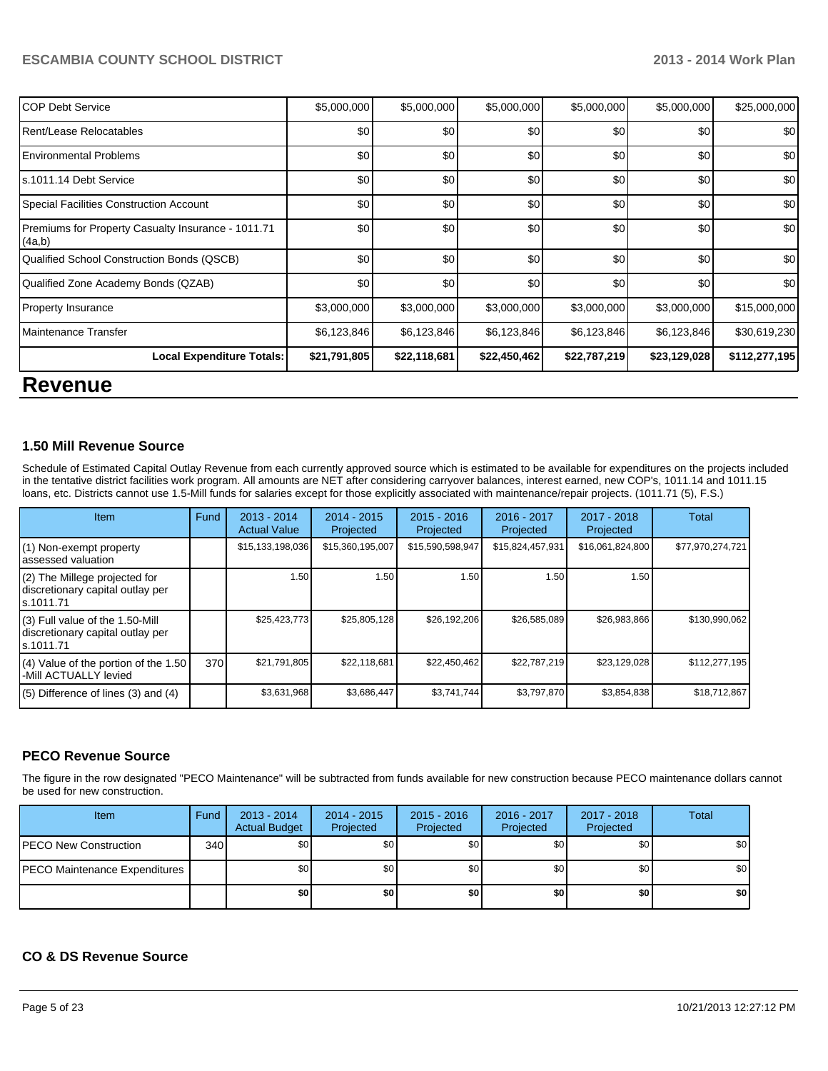| <b>COP Debt Service</b>                                      | \$5,000,000  | \$5,000,000  | \$5,000,000  | \$5,000,000  | \$5,000,000  | \$25,000,000  |
|--------------------------------------------------------------|--------------|--------------|--------------|--------------|--------------|---------------|
| Rent/Lease Relocatables                                      | \$0          | \$0          | \$0          | \$0          | \$0          | \$0           |
| <b>Environmental Problems</b>                                | \$0          | \$0          | \$0          | \$0          | \$0          | \$0           |
| s.1011.14 Debt Service                                       | \$0          | \$0          | \$0          | \$0          | \$0          | \$0           |
| Special Facilities Construction Account                      | \$0          | \$0          | \$0          | \$0          | \$0          | \$0           |
| Premiums for Property Casualty Insurance - 1011.71<br>(4a,b) | \$0          | \$0          | \$0          | \$0          | \$0          | \$0           |
| Qualified School Construction Bonds (QSCB)                   | \$0          | \$0          | \$0          | \$0          | \$0          | \$0           |
| Qualified Zone Academy Bonds (QZAB)                          | \$0          | \$0          | \$0          | \$0          | \$0          | \$0           |
| <b>Property Insurance</b>                                    | \$3,000,000  | \$3,000,000  | \$3,000,000  | \$3,000,000  | \$3,000,000  | \$15,000,000  |
| Maintenance Transfer                                         | \$6,123,846  | \$6,123,846  | \$6,123,846  | \$6,123,846  | \$6,123,846  | \$30,619,230  |
| <b>Local Expenditure Totals:</b>                             | \$21,791,805 | \$22,118,681 | \$22,450,462 | \$22,787,219 | \$23,129,028 | \$112,277,195 |
| <b>Revenue</b>                                               |              |              |              |              |              |               |

# **1.50 Mill Revenue Source**

Schedule of Estimated Capital Outlay Revenue from each currently approved source which is estimated to be available for expenditures on the projects included in the tentative district facilities work program. All amounts are NET after considering carryover balances, interest earned, new COP's, 1011.14 and 1011.15 loans, etc. Districts cannot use 1.5-Mill funds for salaries except for those explicitly associated with maintenance/repair projects. (1011.71 (5), F.S.)

| <b>Item</b>                                                                         | Fund | $2013 - 2014$<br><b>Actual Value</b> | $2014 - 2015$<br>Projected | $2015 - 2016$<br>Projected | 2016 - 2017<br>Projected | 2017 - 2018<br>Projected | Total            |
|-------------------------------------------------------------------------------------|------|--------------------------------------|----------------------------|----------------------------|--------------------------|--------------------------|------------------|
| (1) Non-exempt property<br>lassessed valuation                                      |      | \$15,133,198,036                     | \$15,360,195,007           | \$15,590,598,947           | \$15,824,457,931         | \$16,061,824,800         | \$77,970,274,721 |
| $(2)$ The Millege projected for<br>discretionary capital outlay per<br>ls.1011.71   |      | 1.50                                 | 1.50                       | 1.50                       | 1.50                     | 1.50                     |                  |
| $(3)$ Full value of the 1.50-Mill<br>discretionary capital outlay per<br>ls.1011.71 |      | \$25,423,773                         | \$25,805,128               | \$26,192,206               | \$26,585,089             | \$26,983,866             | \$130,990,062    |
| (4) Value of the portion of the 1.50<br>-Mill ACTUALLY levied                       | 370  | \$21,791,805                         | \$22,118,681               | \$22,450,462               | \$22,787,219             | \$23,129,028             | \$112,277,195    |
| $(5)$ Difference of lines $(3)$ and $(4)$                                           |      | \$3,631,968                          | \$3,686,447                | \$3,741,744                | \$3,797,870              | \$3,854,838              | \$18,712,867     |

# **PECO Revenue Source**

The figure in the row designated "PECO Maintenance" will be subtracted from funds available for new construction because PECO maintenance dollars cannot be used for new construction.

| Item                          | Fund | $2013 - 2014$<br><b>Actual Budget</b> | $2014 - 2015$<br>Projected | $2015 - 2016$<br>Projected | 2016 - 2017<br>Projected | 2017 - 2018<br>Projected | <b>Total</b> |
|-------------------------------|------|---------------------------------------|----------------------------|----------------------------|--------------------------|--------------------------|--------------|
| PECO New Construction         | 340  | \$0                                   | \$0 <sub>1</sub>           | \$0                        | \$0                      | \$0                      | \$0          |
| PECO Maintenance Expenditures |      | \$0                                   | \$0 <sub>1</sub>           | \$0                        | \$0                      | \$0                      | \$0          |
|                               |      | \$O                                   | \$0                        | \$0                        | \$0                      | \$0                      | \$0          |

# **CO & DS Revenue Source**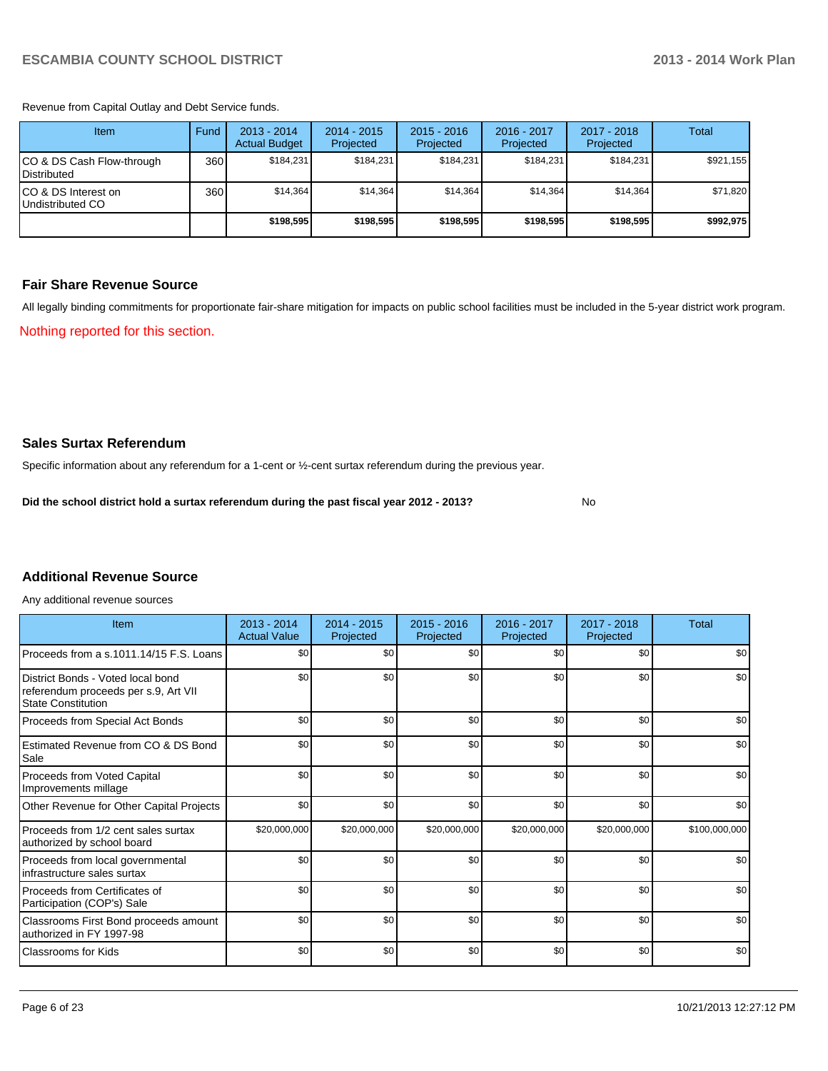Revenue from Capital Outlay and Debt Service funds.

| Item                                     | Fund | $2013 - 2014$<br><b>Actual Budget</b> | $2014 - 2015$<br>Projected | $2015 - 2016$<br>Projected | $2016 - 2017$<br>Projected | 2017 - 2018<br>Projected | Total     |
|------------------------------------------|------|---------------------------------------|----------------------------|----------------------------|----------------------------|--------------------------|-----------|
| CO & DS Cash Flow-through<br>Distributed | 360  | \$184.231                             | \$184,231                  | \$184.231                  | \$184,231                  | \$184,231                | \$921,155 |
| CO & DS Interest on<br>Undistributed CO  | 360  | \$14.364                              | \$14,364                   | \$14.364                   | \$14,364                   | \$14,364                 | \$71,820  |
|                                          |      | \$198,595                             | \$198,595                  | \$198,595                  | \$198,595                  | \$198,595                | \$992,975 |

# **Fair Share Revenue Source**

Nothing reported for this section. All legally binding commitments for proportionate fair-share mitigation for impacts on public school facilities must be included in the 5-year district work program.

**Sales Surtax Referendum**

Specific information about any referendum for a 1-cent or ½-cent surtax referendum during the previous year.

**Did the school district hold a surtax referendum during the past fiscal year 2012 - 2013?**

No

# **Additional Revenue Source**

Any additional revenue sources

| Item                                                                                                   | $2013 - 2014$<br><b>Actual Value</b> | $2014 - 2015$<br>Projected | $2015 - 2016$<br>Projected | $2016 - 2017$<br>Projected | 2017 - 2018<br>Projected | Total         |
|--------------------------------------------------------------------------------------------------------|--------------------------------------|----------------------------|----------------------------|----------------------------|--------------------------|---------------|
| Proceeds from a s.1011.14/15 F.S. Loans                                                                | \$0                                  | \$0                        | \$0                        | \$0                        | \$0                      | \$0           |
| District Bonds - Voted local bond<br>referendum proceeds per s.9, Art VII<br><b>State Constitution</b> | \$0                                  | \$0                        | \$0                        | \$0                        | \$0                      | \$0           |
| Proceeds from Special Act Bonds                                                                        | \$0                                  | \$0                        | \$0                        | \$0                        | \$0                      | \$0           |
| Estimated Revenue from CO & DS Bond<br>Sale                                                            | \$0                                  | \$0                        | \$0                        | \$0                        | \$0                      | \$0           |
| Proceeds from Voted Capital<br>Improvements millage                                                    | \$0                                  | \$0                        | \$0                        | \$0                        | \$0                      | \$0           |
| Other Revenue for Other Capital Projects                                                               | \$0                                  | \$0                        | \$0                        | \$0                        | \$0                      | \$0           |
| Proceeds from 1/2 cent sales surtax<br>authorized by school board                                      | \$20,000,000                         | \$20,000,000               | \$20,000,000               | \$20,000,000               | \$20,000,000             | \$100,000,000 |
| Proceeds from local governmental<br>infrastructure sales surtax                                        | \$0                                  | \$0                        | \$0                        | \$0                        | \$0                      | \$0           |
| Proceeds from Certificates of<br>Participation (COP's) Sale                                            | \$0                                  | \$0                        | \$0                        | \$0                        | \$0                      | \$0           |
| Classrooms First Bond proceeds amount<br>authorized in FY 1997-98                                      | \$0                                  | \$0                        | \$0                        | \$0                        | \$0                      | \$0           |
| Classrooms for Kids                                                                                    | \$0                                  | \$0                        | \$0                        | \$0                        | \$0                      | \$0           |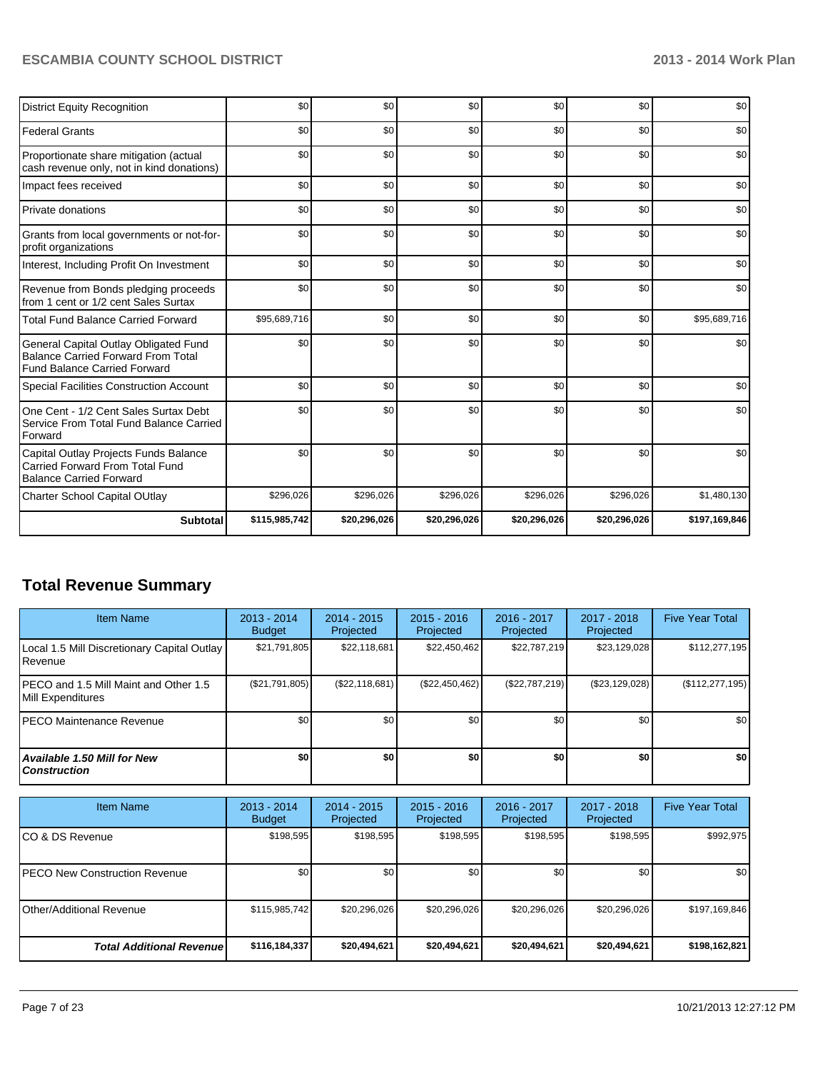| <b>District Equity Recognition</b>                                                                                        | \$0           | \$0          | \$0          | \$0          | \$0          | \$0           |
|---------------------------------------------------------------------------------------------------------------------------|---------------|--------------|--------------|--------------|--------------|---------------|
| <b>Federal Grants</b>                                                                                                     | \$0           | \$0          | \$0          | \$0          | \$0          | \$0           |
| Proportionate share mitigation (actual<br>cash revenue only, not in kind donations)                                       | \$0           | \$0          | \$0          | \$0          | \$0          | \$0           |
| Impact fees received                                                                                                      | \$0           | \$0          | \$0          | \$0          | \$0          | \$0           |
| Private donations                                                                                                         | \$0           | \$0          | \$0          | \$0          | \$0          | \$0           |
| Grants from local governments or not-for-<br>profit organizations                                                         | \$0           | \$0          | \$0          | \$0          | \$0          | \$0           |
| Interest, Including Profit On Investment                                                                                  | \$0           | \$0          | \$0          | \$0          | \$0          | \$0           |
| Revenue from Bonds pledging proceeds<br>from 1 cent or 1/2 cent Sales Surtax                                              | \$0           | \$0          | \$0          | \$0          | \$0          | \$0           |
| <b>Total Fund Balance Carried Forward</b>                                                                                 | \$95,689,716  | \$0          | \$0          | \$0          | \$0          | \$95,689,716  |
| General Capital Outlay Obligated Fund<br><b>Balance Carried Forward From Total</b><br><b>Fund Balance Carried Forward</b> | \$0           | \$0          | \$0          | \$0          | \$0          | \$0           |
| <b>Special Facilities Construction Account</b>                                                                            | \$0           | \$0          | \$0          | \$0          | \$0          | \$0           |
| One Cent - 1/2 Cent Sales Surtax Debt<br>Service From Total Fund Balance Carried<br>Forward                               | \$0           | \$0          | \$0          | \$0          | \$0          | \$0           |
| Capital Outlay Projects Funds Balance<br>Carried Forward From Total Fund<br><b>Balance Carried Forward</b>                | \$0           | \$0          | \$0          | \$0          | \$0          | \$0           |
| <b>Charter School Capital OUtlay</b>                                                                                      | \$296,026     | \$296,026    | \$296,026    | \$296,026    | \$296,026    | \$1,480,130   |
| <b>Subtotal</b>                                                                                                           | \$115,985,742 | \$20,296,026 | \$20,296,026 | \$20,296,026 | \$20,296,026 | \$197,169,846 |

# **Total Revenue Summary**

| <b>Item Name</b>                                            | 2013 - 2014<br><b>Budget</b> | $2014 - 2015$<br>Projected | $2015 - 2016$<br>Projected | 2016 - 2017<br>Projected | 2017 - 2018<br>Projected | <b>Five Year Total</b> |
|-------------------------------------------------------------|------------------------------|----------------------------|----------------------------|--------------------------|--------------------------|------------------------|
| Local 1.5 Mill Discretionary Capital Outlay<br>l Revenue    | \$21,791,805                 | \$22,118,681               | \$22,450,462               | \$22,787,219             | \$23,129,028             | \$112,277,195          |
| IPECO and 1.5 Mill Maint and Other 1.5<br>Mill Expenditures | (\$21,791,805)               | (S22, 118, 681)            | (\$22,450,462)             | (\$22,787,219)           | (\$23,129,028)           | (\$112, 277, 195)      |
| IPECO Maintenance Revenue                                   | \$0                          | \$0 <sub>1</sub>           | \$0                        | \$0 <sub>1</sub>         | \$0 <sub>1</sub>         | \$0                    |
| Available 1.50 Mill for New l<br>l Construction             | \$0                          | \$0                        | \$0                        | \$OI                     | \$0                      | \$0                    |

| <b>Item Name</b>                 | 2013 - 2014<br><b>Budget</b> | $2014 - 2015$<br>Projected | $2015 - 2016$<br>Projected | $2016 - 2017$<br>Projected | $2017 - 2018$<br>Projected | <b>Five Year Total</b> |
|----------------------------------|------------------------------|----------------------------|----------------------------|----------------------------|----------------------------|------------------------|
| ICO & DS Revenue                 | \$198,595                    | \$198,595                  | \$198,595                  | \$198,595                  | \$198,595                  | \$992,975              |
| IPECO New Construction Revenue   | \$0                          | \$0 <sub>l</sub>           | \$0                        | \$0                        | \$0                        | \$0 <sub>1</sub>       |
| <b>Other/Additional Revenue</b>  | \$115,985,742                | \$20,296,026               | \$20,296,026               | \$20,296,026               | \$20,296,026               | \$197,169,846          |
| <b>Total Additional Revenuel</b> | \$116,184,337                | \$20,494,621               | \$20,494,621               | \$20,494,621               | \$20,494,621               | \$198,162,821          |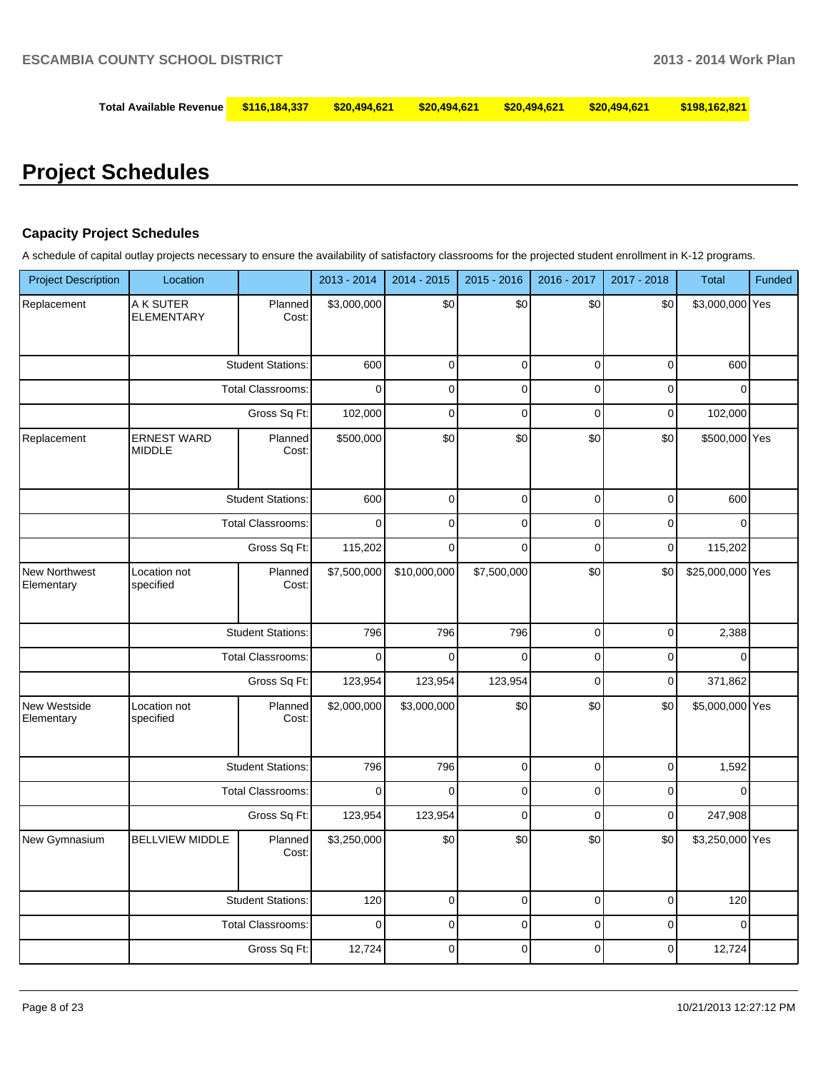| Total Available Revenue  \$116,184,337  \$20,494,621  \$20,494,621  \$20,494,621  \$20,494,621   \$198,162,821 |  |  |  |
|----------------------------------------------------------------------------------------------------------------|--|--|--|
|                                                                                                                |  |  |  |

# **Project Schedules**

# **Capacity Project Schedules**

A schedule of capital outlay projects necessary to ensure the availability of satisfactory classrooms for the projected student enrollment in K-12 programs.

| <b>Project Description</b>  | Location                            |                          | 2013 - 2014 | 2014 - 2015  | 2015 - 2016 | 2016 - 2017 | 2017 - 2018 | <b>Total</b>     | Funded |
|-----------------------------|-------------------------------------|--------------------------|-------------|--------------|-------------|-------------|-------------|------------------|--------|
| Replacement                 | A K SUTER<br><b>ELEMENTARY</b>      | Planned<br>Cost:         | \$3,000,000 | \$0          | \$0         | \$0         | \$0         | \$3,000,000 Yes  |        |
|                             |                                     | <b>Student Stations:</b> | 600         | 0            | $\mathbf 0$ | $\mathbf 0$ | $\mathbf 0$ | 600              |        |
|                             |                                     | <b>Total Classrooms:</b> | $\mathbf 0$ | 0            | $\mathbf 0$ | $\mathbf 0$ | $\mathbf 0$ | $\mathbf 0$      |        |
|                             |                                     | Gross Sq Ft:             | 102,000     | $\mathbf 0$  | $\mathbf 0$ | $\mathbf 0$ | $\pmb{0}$   | 102,000          |        |
| Replacement                 | <b>ERNEST WARD</b><br><b>MIDDLE</b> | Planned<br>Cost:         | \$500,000   | \$0          | \$0         | \$0         | \$0         | \$500,000 Yes    |        |
|                             |                                     | <b>Student Stations:</b> | 600         | $\mathbf 0$  | $\mathbf 0$ | $\mathbf 0$ | $\pmb{0}$   | 600              |        |
|                             |                                     | <b>Total Classrooms:</b> | 0           | 0            | $\pmb{0}$   | $\pmb{0}$   | $\pmb{0}$   | 0                |        |
|                             |                                     | Gross Sq Ft:             | 115,202     | $\mathbf 0$  | $\mathbf 0$ | $\mathbf 0$ | $\mathbf 0$ | 115,202          |        |
| New Northwest<br>Elementary | Location not<br>specified           | Planned<br>Cost:         | \$7,500,000 | \$10,000,000 | \$7,500,000 | \$0         | \$0         | \$25,000,000 Yes |        |
|                             |                                     | <b>Student Stations:</b> | 796         | 796          | 796         | $\pmb{0}$   | $\pmb{0}$   | 2,388            |        |
|                             |                                     | <b>Total Classrooms:</b> | $\mathbf 0$ | 0            | $\pmb{0}$   | $\pmb{0}$   | $\pmb{0}$   | $\pmb{0}$        |        |
|                             |                                     | Gross Sq Ft:             | 123,954     | 123,954      | 123,954     | $\pmb{0}$   | $\pmb{0}$   | 371,862          |        |
| New Westside<br>Elementary  | Location not<br>specified           | Planned<br>Cost:         | \$2,000,000 | \$3,000,000  | \$0         | \$0         | \$0         | \$5,000,000 Yes  |        |
|                             |                                     | <b>Student Stations:</b> | 796         | 796          | $\pmb{0}$   | $\pmb{0}$   | $\pmb{0}$   | 1,592            |        |
|                             |                                     | Total Classrooms:        | $\mathbf 0$ | $\mathbf 0$  | $\pmb{0}$   | $\mathbf 0$ | $\mathbf 0$ | $\mathbf 0$      |        |
|                             |                                     | Gross Sq Ft:             | 123,954     | 123,954      | $\pmb{0}$   | $\pmb{0}$   | $\pmb{0}$   | 247,908          |        |
| New Gymnasium               | <b>BELLVIEW MIDDLE</b>              | Planned<br>Cost:         | \$3,250,000 | \$0          | \$0         | \$0         | \$0         | \$3,250,000 Yes  |        |
|                             |                                     | <b>Student Stations:</b> | 120         | $\pmb{0}$    | $\mathbf 0$ | $\mathbf 0$ | $\mathbf 0$ | 120              |        |
|                             |                                     | <b>Total Classrooms:</b> | $\mathbf 0$ | 0            | $\mathbf 0$ | $\mathbf 0$ | $\mathbf 0$ | $\mathbf 0$      |        |
|                             |                                     | Gross Sq Ft:             | 12,724      | 0            | 0           | 0           | $\mathbf 0$ | 12,724           |        |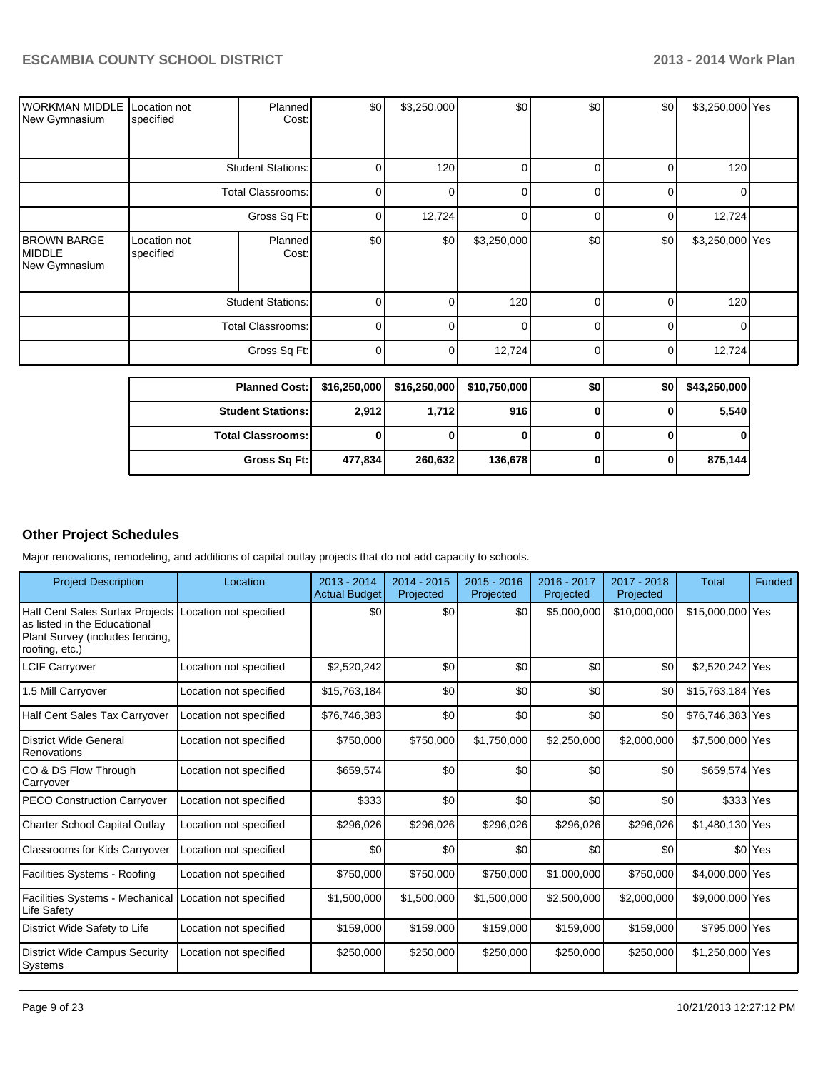| WORKMAN MIDDLE<br>New Gymnasium               | Location not<br>specified | Planned<br>Cost:         | \$0          | \$3,250,000  | \$0          | \$0      | \$0    | \$3,250,000 Yes |  |
|-----------------------------------------------|---------------------------|--------------------------|--------------|--------------|--------------|----------|--------|-----------------|--|
|                                               | <b>Student Stations:</b>  |                          | $\Omega$     | 120          | O            | U        | 0      | 120             |  |
|                                               |                           | <b>Total Classrooms:</b> | 0            | U            | $\Omega$     | 0        | 0      | 0               |  |
|                                               |                           | 0                        | 12,724       | $\Omega$     | $\Omega$     | 0        | 12,724 |                 |  |
| <b>BROWN BARGE</b><br>MIDDLE<br>New Gymnasium | Location not<br>specified | Planned<br>Cost:         | \$0          | \$0          | \$3,250,000  | \$0      | \$0    | \$3,250,000 Yes |  |
|                                               |                           | <b>Student Stations:</b> | $\Omega$     |              | 120          | $\Omega$ | 0      | 120             |  |
|                                               | <b>Total Classrooms:</b>  |                          | 0            | ∩            | $\Omega$     | 0        | 0      | 0               |  |
|                                               | Gross Sq Ft:              |                          | $\Omega$     | 0            | 12,724       | $\Omega$ | 0      | 12,724          |  |
|                                               | <b>Planned Cost:</b>      |                          | \$16,250,000 | \$16,250,000 | \$10,750,000 | \$0      | \$0    | \$43,250,000    |  |
|                                               |                           | Chirdrat Cintinual       | n osol       | 1.710        | 04c          | $\sim$   | $\sim$ | <b>E EAO</b>    |  |

| .                        | <u>vivisvojvov j</u> | "       | <b>VIVILVOIVVU</b> | . . | YY I | $v \sim v \sim v$ |
|--------------------------|----------------------|---------|--------------------|-----|------|-------------------|
| <b>Student Stations:</b> | 2,912                | 1.712   | 916                |     |      | 5,540             |
| <b>Total Classrooms:</b> |                      |         |                    |     |      |                   |
| Gross Sq Ft:             | 477,834              | 260,632 | 136,678            |     |      | 875,144           |

# **Other Project Schedules**

Major renovations, remodeling, and additions of capital outlay projects that do not add capacity to schools.

| <b>Project Description</b>                                                                                           | Location               | 2013 - 2014<br><b>Actual Budget</b> | 2014 - 2015<br>Projected | 2015 - 2016<br>Projected | 2016 - 2017<br>Projected | 2017 - 2018<br>Projected | <b>Total</b>     | Funded               |
|----------------------------------------------------------------------------------------------------------------------|------------------------|-------------------------------------|--------------------------|--------------------------|--------------------------|--------------------------|------------------|----------------------|
| Half Cent Sales Surtax Projects<br>as listed in the Educational<br>Plant Survey (includes fencing,<br>roofing, etc.) | Location not specified | \$0                                 | \$0                      | \$0                      | \$5,000,000              | \$10,000,000             | \$15,000,000 Yes |                      |
| <b>LCIF Carryover</b>                                                                                                | Location not specified | \$2,520,242                         | \$0                      | \$0                      | \$0                      | \$0                      | \$2,520,242 Yes  |                      |
| 1.5 Mill Carryover                                                                                                   | Location not specified | \$15,763,184                        | \$0                      | \$0                      | \$0                      | \$0                      | \$15,763,184 Yes |                      |
| <b>Half Cent Sales Tax Carryover</b>                                                                                 | Location not specified | \$76,746,383                        | \$0                      | \$0                      | \$0                      | \$0                      | \$76,746,383 Yes |                      |
| <b>District Wide General</b><br>Renovations                                                                          | Location not specified | \$750,000                           | \$750,000                | \$1,750,000              | \$2,250,000              | \$2,000,000              | \$7,500,000 Yes  |                      |
| CO & DS Flow Through<br>Carryover                                                                                    | Location not specified | \$659,574                           | \$0                      | \$0                      | \$0                      | \$0                      | \$659,574 Yes    |                      |
| <b>PECO Construction Carryover</b>                                                                                   | Location not specified | \$333                               | \$0                      | \$0                      | \$0                      | \$0                      | \$333 Yes        |                      |
| Charter School Capital Outlay                                                                                        | Location not specified | \$296,026                           | \$296,026                | \$296,026                | \$296,026                | \$296,026                | \$1,480,130 Yes  |                      |
| Classrooms for Kids Carryover                                                                                        | Location not specified | \$0                                 | \$0                      | \$0                      | \$0                      | \$0                      |                  | \$0 <sup>l</sup> Yes |
| Facilities Systems - Roofing                                                                                         | Location not specified | \$750,000                           | \$750,000                | \$750,000                | \$1,000,000              | \$750,000                | \$4,000,000 Yes  |                      |
| <b>Facilities Systems - Mechanical</b><br>Life Safety                                                                | Location not specified | \$1,500,000                         | \$1,500,000              | \$1,500,000              | \$2,500,000              | \$2,000,000              | \$9,000,000 Yes  |                      |
| District Wide Safety to Life                                                                                         | Location not specified | \$159,000                           | \$159,000                | \$159,000                | \$159,000                | \$159,000                | \$795,000 Yes    |                      |
| <b>District Wide Campus Security</b><br>Systems                                                                      | Location not specified | \$250,000                           | \$250,000                | \$250,000                | \$250,000                | \$250,000                | \$1,250,000 Yes  |                      |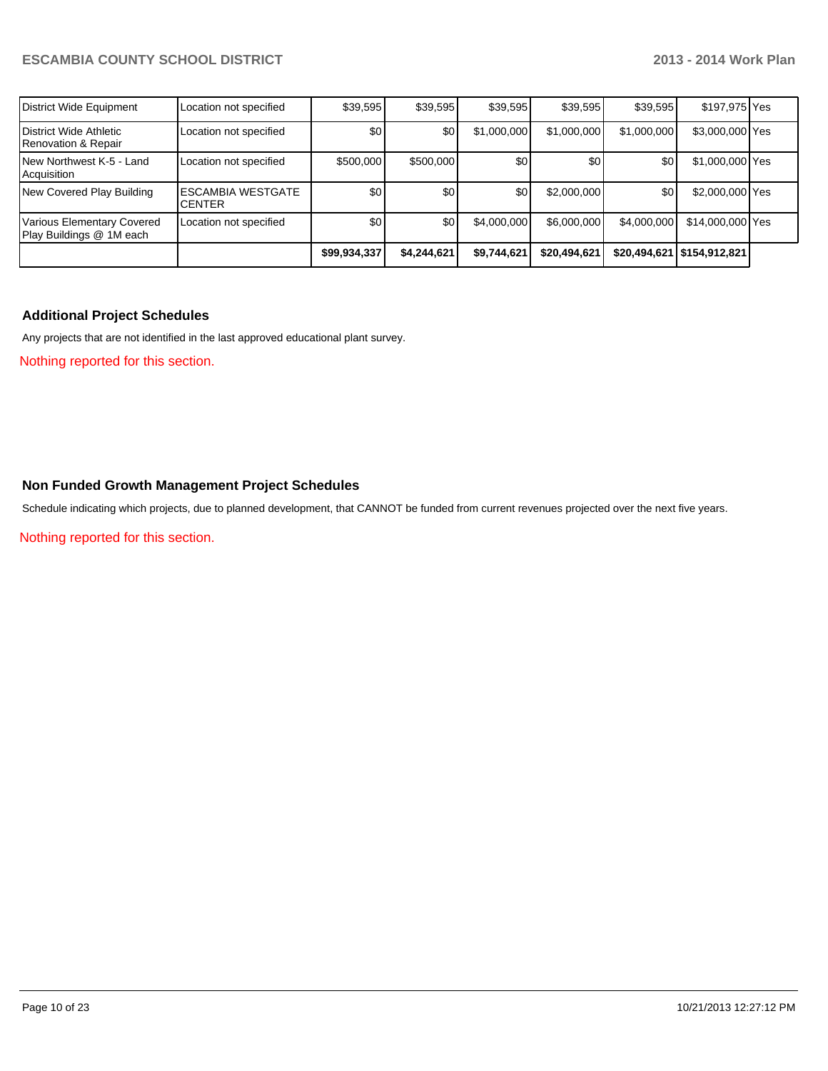| District Wide Equipment                                       | Location not specified                    | \$39,595     | \$39,595    | \$39,595    | \$39,595     | \$39.595    | \$197,975 Yes                |  |
|---------------------------------------------------------------|-------------------------------------------|--------------|-------------|-------------|--------------|-------------|------------------------------|--|
| District Wide Athletic<br>Renovation & Repair                 | Location not specified                    | \$0          | \$0         | \$1,000,000 | \$1,000,000  | \$1,000,000 | \$3,000,000 Yes              |  |
| New Northwest K-5 - Land<br>Acquisition                       | Location not specified                    | \$500,000    | \$500,000   | \$0         | \$0          | \$0         | \$1,000,000 Yes              |  |
| New Covered Play Building                                     | <b>ESCAMBIA WESTGATE</b><br><b>CENTER</b> | \$0          | \$0         | \$0         | \$2,000,000  | \$0         | \$2,000,000 Yes              |  |
| <b>Various Elementary Covered</b><br>Play Buildings @ 1M each | Location not specified                    | \$0          | \$0         | \$4,000,000 | \$6,000,000  | \$4,000,000 | \$14,000,000 Yes             |  |
|                                                               |                                           | \$99,934,337 | \$4,244,621 | \$9,744,621 | \$20,494,621 |             | \$20,494,621   \$154,912,821 |  |

# **Additional Project Schedules**

Any projects that are not identified in the last approved educational plant survey.

Nothing reported for this section.

### **Non Funded Growth Management Project Schedules**

Schedule indicating which projects, due to planned development, that CANNOT be funded from current revenues projected over the next five years.

Nothing reported for this section.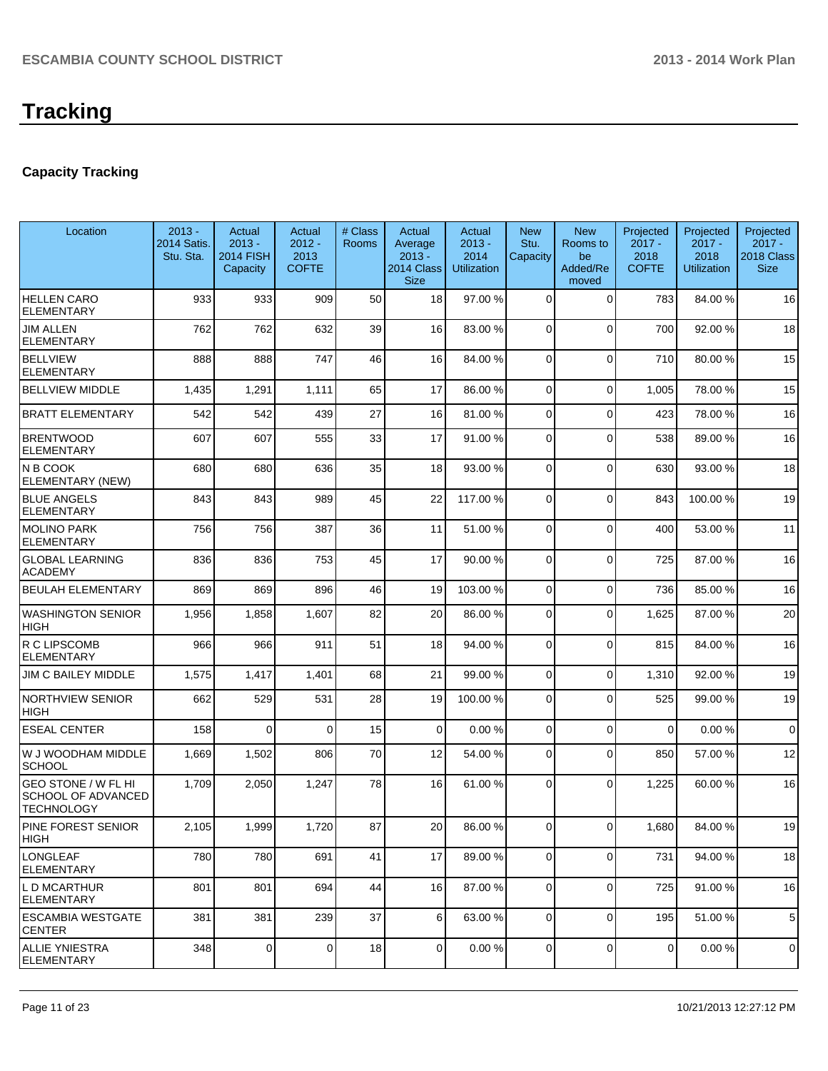# **Capacity Tracking**

| Location                                                                     | $2013 -$<br>2014 Satis.<br>Stu. Sta. | Actual<br>$2013 -$<br><b>2014 FISH</b><br>Capacity | Actual<br>$2012 -$<br>2013<br><b>COFTE</b> | # Class<br>Rooms | Actual<br>Average<br>$2013 -$<br>2014 Class<br><b>Size</b> | Actual<br>$2013 -$<br>2014<br><b>Utilization</b> | <b>New</b><br>Stu.<br>Capacity | <b>New</b><br>Rooms to<br>be<br>Added/Re<br>moved | Projected<br>$2017 -$<br>2018<br><b>COFTE</b> | Projected<br>$2017 -$<br>2018<br><b>Utilization</b> | Projected<br>$2017 -$<br>2018 Class<br><b>Size</b> |
|------------------------------------------------------------------------------|--------------------------------------|----------------------------------------------------|--------------------------------------------|------------------|------------------------------------------------------------|--------------------------------------------------|--------------------------------|---------------------------------------------------|-----------------------------------------------|-----------------------------------------------------|----------------------------------------------------|
| <b>HELLEN CARO</b><br><b>ELEMENTARY</b>                                      | 933                                  | 933                                                | 909                                        | 50               | 18                                                         | 97.00 %                                          | $\mathbf 0$                    | $\Omega$                                          | 783                                           | 84.00%                                              | 16                                                 |
| <b>JIM ALLEN</b><br><b>ELEMENTARY</b>                                        | 762                                  | 762                                                | 632                                        | 39               | 16                                                         | 83.00 %                                          | 0                              | $\Omega$                                          | 700                                           | 92.00 %                                             | 18                                                 |
| <b>BELLVIEW</b><br><b>ELEMENTARY</b>                                         | 888                                  | 888                                                | 747                                        | 46               | 16                                                         | 84.00 %                                          | 0                              | $\Omega$                                          | 710                                           | 80.00 %                                             | 15                                                 |
| <b>BELLVIEW MIDDLE</b>                                                       | 1,435                                | 1,291                                              | 1,111                                      | 65               | 17                                                         | 86.00 %                                          | 0                              | $\Omega$                                          | 1,005                                         | 78.00 %                                             | 15                                                 |
| <b>BRATT ELEMENTARY</b>                                                      | 542                                  | 542                                                | 439                                        | 27               | 16                                                         | 81.00 %                                          | 0                              | $\Omega$                                          | 423                                           | 78.00%                                              | 16                                                 |
| <b>BRENTWOOD</b><br><b>ELEMENTARY</b>                                        | 607                                  | 607                                                | 555                                        | 33               | 17                                                         | 91.00 %                                          | 0                              | $\Omega$                                          | 538                                           | 89.00 %                                             | 16                                                 |
| N B COOK<br>ELEMENTARY (NEW)                                                 | 680                                  | 680                                                | 636                                        | 35               | 18                                                         | 93.00 %                                          | $\mathbf 0$                    | $\Omega$                                          | 630                                           | 93.00 %                                             | 18                                                 |
| <b>BLUE ANGELS</b><br><b>ELEMENTARY</b>                                      | 843                                  | 843                                                | 989                                        | 45               | 22                                                         | 117.00 %                                         | 0                              | $\Omega$                                          | 843                                           | 100.00%                                             | 19                                                 |
| <b>MOLINO PARK</b><br><b>ELEMENTARY</b>                                      | 756                                  | 756                                                | 387                                        | 36               | 11                                                         | 51.00 %                                          | $\Omega$                       | $\Omega$                                          | 400                                           | 53.00 %                                             | 11                                                 |
| <b>GLOBAL LEARNING</b><br><b>ACADEMY</b>                                     | 836                                  | 836                                                | 753                                        | 45               | 17                                                         | 90.00 %                                          | 0                              | $\Omega$                                          | 725                                           | 87.00 %                                             | 16                                                 |
| <b>BEULAH ELEMENTARY</b>                                                     | 869                                  | 869                                                | 896                                        | 46               | 19                                                         | 103.00 %                                         | 0                              | $\Omega$                                          | 736                                           | 85.00 %                                             | 16                                                 |
| <b>WASHINGTON SENIOR</b><br><b>HIGH</b>                                      | 1,956                                | 1,858                                              | 1,607                                      | 82               | 20                                                         | 86.00 %                                          | 0                              | $\Omega$                                          | 1,625                                         | 87.00 %                                             | 20                                                 |
| R C LIPSCOMB<br><b>ELEMENTARY</b>                                            | 966                                  | 966                                                | 911                                        | 51               | 18                                                         | 94.00 %                                          | 0                              | $\Omega$                                          | 815                                           | 84.00%                                              | 16                                                 |
| <b>JIM C BAILEY MIDDLE</b>                                                   | 1,575                                | 1,417                                              | 1,401                                      | 68               | 21                                                         | 99.00 %                                          | 0                              | $\Omega$                                          | 1,310                                         | 92.00 %                                             | 19                                                 |
| <b>NORTHVIEW SENIOR</b><br><b>HIGH</b>                                       | 662                                  | 529                                                | 531                                        | 28               | 19                                                         | 100.00 %                                         | $\Omega$                       | $\Omega$                                          | 525                                           | 99.00 %                                             | 19                                                 |
| <b>ESEAL CENTER</b>                                                          | 158                                  | $\Omega$                                           | $\Omega$                                   | 15               | $\Omega$                                                   | 0.00%                                            | $\mathbf 0$                    | $\Omega$                                          | $\Omega$                                      | 0.00%                                               | $\mathbf 0$                                        |
| W J WOODHAM MIDDLE<br><b>SCHOOL</b>                                          | 1,669                                | 1,502                                              | 806                                        | 70               | 12                                                         | 54.00 %                                          | 0                              | $\Omega$                                          | 850                                           | 57.00 %                                             | 12                                                 |
| <b>GEO STONE / W FL HI</b><br><b>SCHOOL OF ADVANCED</b><br><b>TECHNOLOGY</b> | 1,709                                | 2,050                                              | 1,247                                      | 78               | 16                                                         | 61.00 %                                          | $\Omega$                       | $\Omega$                                          | 1,225                                         | 60.00%                                              | 16                                                 |
| PINE FOREST SENIOR<br>HIGH                                                   | 2,105                                | 1,999                                              | 1,720                                      | 87               | 20                                                         | 86.00 %                                          | $\overline{0}$                 | $\overline{0}$                                    | 1,680                                         | 84.00 %                                             | 19                                                 |
| <b>LONGLEAF</b><br><b>ELEMENTARY</b>                                         | 780                                  | 780                                                | 691                                        | 41               | 17                                                         | 89.00 %                                          | $\overline{0}$                 | $\Omega$                                          | 731                                           | 94.00 %                                             | 18                                                 |
| L D MCARTHUR<br><b>ELEMENTARY</b>                                            | 801                                  | 801                                                | 694                                        | 44               | 16                                                         | 87.00 %                                          | 0                              | $\mathbf 0$                                       | 725                                           | 91.00%                                              | 16                                                 |
| <b>ESCAMBIA WESTGATE</b><br><b>CENTER</b>                                    | 381                                  | 381                                                | 239                                        | 37               | 6 <sup>1</sup>                                             | 63.00 %                                          | $\overline{0}$                 | $\Omega$                                          | 195                                           | 51.00%                                              | 5                                                  |
| <b>ALLIE YNIESTRA</b><br><b>ELEMENTARY</b>                                   | 348                                  | $\overline{0}$                                     | $\overline{0}$                             | 18               | $\overline{0}$                                             | 0.00%                                            | $\overline{0}$                 | $\overline{0}$                                    | $\overline{0}$                                | 0.00%                                               | $\mathbf 0$                                        |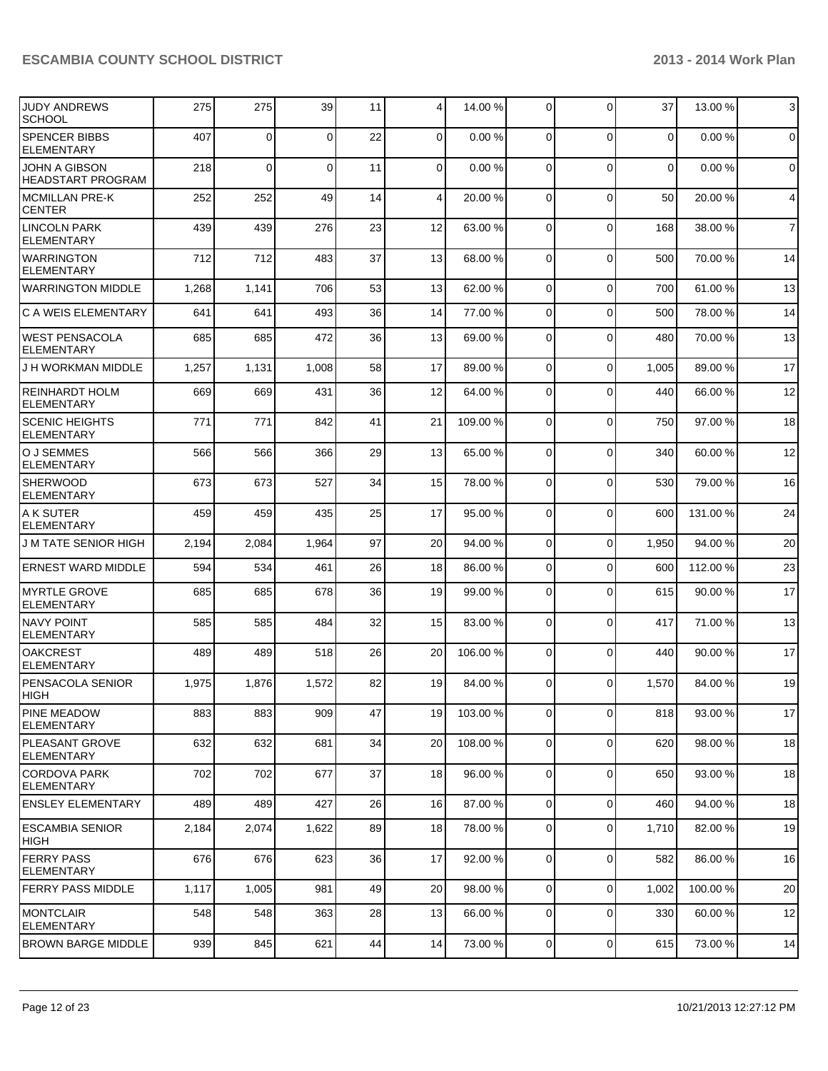| JUDY ANDREWS<br><b>SCHOOL</b>                    | 275   | 275      | 39       | 11 | $\vert 4 \vert$ | 14.00 %  | $\overline{0}$ | $\Omega$       | 37             | 13.00 % | $\mathbf{3}$   |
|--------------------------------------------------|-------|----------|----------|----|-----------------|----------|----------------|----------------|----------------|---------|----------------|
| <b>SPENCER BIBBS</b><br><b>ELEMENTARY</b>        | 407   | 0        | $\Omega$ | 22 | $\overline{0}$  | 0.00%    | 0              | $\Omega$       | 0              | 0.00%   | $\mathbf 0$    |
| <b>JOHN A GIBSON</b><br><b>HEADSTART PROGRAM</b> | 218   | $\Omega$ | $\Omega$ | 11 | $\Omega$        | 0.00%    | $\Omega$       | $\Omega$       | $\overline{0}$ | 0.00%   | $\mathbf 0$    |
| MCMILLAN PRE-K<br><b>CENTER</b>                  | 252   | 252      | 49       | 14 | $\vert 4 \vert$ | 20.00 %  | $\Omega$       | $\Omega$       | 50             | 20.00 % | 4              |
| <b>LINCOLN PARK</b><br><b>ELEMENTARY</b>         | 439   | 439      | 276      | 23 | 12              | 63.00 %  | $\Omega$       | $\mathbf 0$    | 168            | 38.00 % | $\overline{7}$ |
| <b>WARRINGTON</b><br><b>ELEMENTARY</b>           | 712   | 712      | 483      | 37 | 13              | 68.00 %  | $\Omega$       | $\Omega$       | 500            | 70.00%  | 14             |
| <b>WARRINGTON MIDDLE</b>                         | 1,268 | 1,141    | 706      | 53 | 13              | 62.00 %  | $\Omega$       | $\mathbf 0$    | 700            | 61.00%  | 13             |
| <b>C A WEIS ELEMENTARY</b>                       | 641   | 641      | 493      | 36 | 14              | 77.00 %  | $\Omega$       | $\Omega$       | 500            | 78.00 % | 14             |
| WEST PENSACOLA<br><b>ELEMENTARY</b>              | 685   | 685      | 472      | 36 | 13              | 69.00 %  | $\Omega$       | $\Omega$       | 480            | 70.00 % | 13             |
| J H WORKMAN MIDDLE                               | 1,257 | 1,131    | 1,008    | 58 | 17              | 89.00 %  | $\Omega$       | $\Omega$       | 1,005          | 89.00 % | 17             |
| REINHARDT HOLM<br><b>ELEMENTARY</b>              | 669   | 669      | 431      | 36 | 12              | 64.00 %  | $\Omega$       | $\Omega$       | 440            | 66.00 % | 12             |
| <b>SCENIC HEIGHTS</b><br><b>ELEMENTARY</b>       | 771   | 771      | 842      | 41 | 21              | 109.00 % | 0              | $\Omega$       | 750            | 97.00 % | 18             |
| O J SEMMES<br><b>ELEMENTARY</b>                  | 566   | 566      | 366      | 29 | 13              | 65.00 %  | $\Omega$       | $\Omega$       | 340            | 60.00%  | 12             |
| <b>SHERWOOD</b><br><b>ELEMENTARY</b>             | 673   | 673      | 527      | 34 | 15              | 78.00 %  | $\overline{0}$ | $\Omega$       | 530            | 79.00 % | 16             |
| IA K SUTER<br><b>ELEMENTARY</b>                  | 459   | 459      | 435      | 25 | 17              | 95.00 %  | $\Omega$       | $\Omega$       | 600            | 131.00% | 24             |
| <b>J M TATE SENIOR HIGH</b>                      | 2,194 | 2,084    | 1,964    | 97 | 20              | 94.00 %  | $\overline{0}$ | $\Omega$       | 1,950          | 94.00%  | 20             |
| <b>ERNEST WARD MIDDLE</b>                        | 594   | 534      | 461      | 26 | 18              | 86.00 %  | $\Omega$       | $\Omega$       | 600            | 112.00% | 23             |
| <b>MYRTLE GROVE</b><br><b>ELEMENTARY</b>         | 685   | 685      | 678      | 36 | 19              | 99.00 %  | 0              | $\Omega$       | 615            | 90.00 % | 17             |
| <b>NAVY POINT</b><br><b>ELEMENTARY</b>           | 585   | 585      | 484      | 32 | 15              | 83.00 %  | $\Omega$       | $\Omega$       | 417            | 71.00%  | 13             |
| <b>OAKCREST</b><br><b>ELEMENTARY</b>             | 489   | 489      | 518      | 26 | 20 <sup>1</sup> | 106.00%  | $\overline{0}$ | $\Omega$       | 440            | 90.00 % | 17             |
| <b>PENSACOLA SENIOR</b><br> HIGH                 | 1,975 | 1,876    | 1,572    | 82 | 19              | 84.00 %  | 0              | $\Omega$       | 1,570          | 84.00 % | 19             |
| <b>PINE MEADOW</b><br><b>ELEMENTARY</b>          | 883   | 883      | 909      | 47 | 19              | 103.00 % | $\overline{0}$ | $\mathbf 0$    | 818            | 93.00 % | 17             |
| PLEASANT GROVE<br><b>ELEMENTARY</b>              | 632   | 632      | 681      | 34 | 20              | 108.00%  | $\overline{0}$ | $\mathbf 0$    | 620            | 98.00 % | 18             |
| CORDOVA PARK<br><b>ELEMENTARY</b>                | 702   | 702      | 677      | 37 | 18              | 96.00 %  | $\overline{0}$ | $\mathbf 0$    | 650            | 93.00 % | 18             |
| <b>ENSLEY ELEMENTARY</b>                         | 489   | 489      | 427      | 26 | 16              | 87.00 %  | $\overline{0}$ | $\mathbf 0$    | 460            | 94.00 % | 18             |
| <b>ESCAMBIA SENIOR</b><br>HIGH                   | 2,184 | 2,074    | 1,622    | 89 | 18              | 78.00 %  | 0              | $\mathbf 0$    | 1,710          | 82.00 % | 19             |
| <b>FERRY PASS</b><br><b>ELEMENTARY</b>           | 676   | 676      | 623      | 36 | 17              | 92.00 %  | $\overline{0}$ | $\mathbf 0$    | 582            | 86.00 % | 16             |
| <b>FERRY PASS MIDDLE</b>                         | 1,117 | 1,005    | 981      | 49 | 20              | 98.00 %  | $\overline{0}$ | $\overline{0}$ | 1,002          | 100.00% | 20             |
| <b>MONTCLAIR</b><br>ELEMENTARY                   | 548   | 548      | 363      | 28 | 13              | 66.00 %  | $\overline{0}$ | $\mathbf 0$    | 330            | 60.00 % | 12             |
| <b>BROWN BARGE MIDDLE</b>                        | 939   | 845      | 621      | 44 | 14              | 73.00 %  | $\overline{0}$ | $\pmb{0}$      | 615            | 73.00 % | 14             |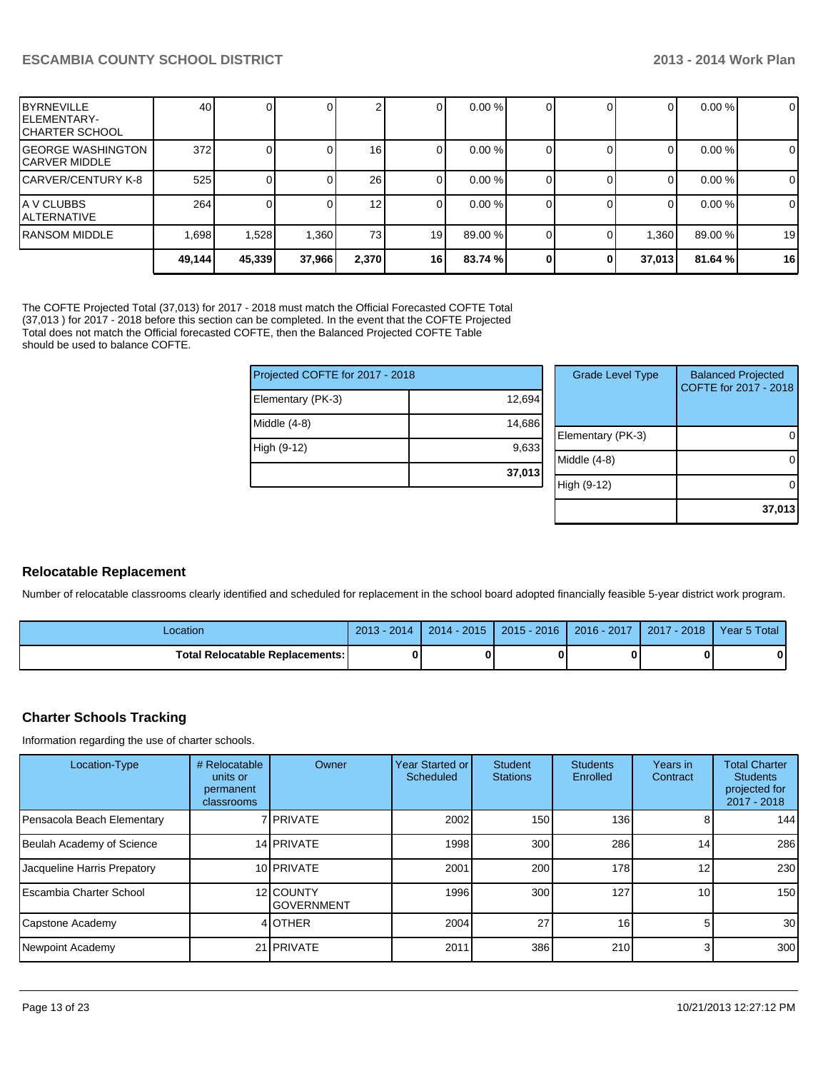| <b>BYRNEVILLE</b><br>IELEMENTARY-<br>ICHARTER SCHOOL | 40     |        |        |                 |      | 0.00 %   |   | 0                 | $0.00\%$ | $\overline{0}$ |
|------------------------------------------------------|--------|--------|--------|-----------------|------|----------|---|-------------------|----------|----------------|
| IGEORGE WASHINGTON<br>ICARVER MIDDLE                 | 372    |        |        | 16 <sup>1</sup> |      | $0.00\%$ |   | O                 | 0.00 %   | $\mathbf 0$    |
| ICARVER/CENTURY K-8                                  | 525    |        |        | 26              | υı   | $0.00\%$ |   | 0                 | $0.00\%$ | $\overline{0}$ |
| IA V CLUBBS<br>IALTERNATIVE                          | 264    |        |        | 12              | 01   | $0.00\%$ |   | 0                 | $0.00\%$ | $\overline{0}$ |
| IRANSOM MIDDLE                                       | 1.698  | 1,528  | 1,360  | 73 <sub>l</sub> | 19   | 89.00 %  |   | .360 <sub>1</sub> | 89.00 %  | 19             |
|                                                      | 49,144 | 45,339 | 37,966 | 2,370           | 16 I | 83.74 %  | 0 | 37,013            | 81.64%   | 16             |

The COFTE Projected Total (37,013) for 2017 - 2018 must match the Official Forecasted COFTE Total (37,013 ) for 2017 - 2018 before this section can be completed. In the event that the COFTE Projected Total does not match the Official forecasted COFTE, then the Balanced Projected COFTE Table should be used to balance COFTE.

| Projected COFTE for 2017 - 2018 |        | <b>Grade Level Type</b> | <b>Balanced Projected</b><br>COFTE for 2017 - 2018 |
|---------------------------------|--------|-------------------------|----------------------------------------------------|
| Elementary (PK-3)               | 12,694 |                         |                                                    |
| Middle $(4-8)$                  | 14,686 |                         |                                                    |
|                                 |        | Elementary (PK-3)       | 0                                                  |
| High (9-12)                     | 9,633  |                         |                                                    |
|                                 |        | Middle (4-8)            | $\Omega$                                           |
|                                 | 37,013 |                         |                                                    |
|                                 |        | High (9-12)             | 0                                                  |
|                                 |        |                         |                                                    |
|                                 |        |                         | 37,013                                             |

# **Relocatable Replacement**

Number of relocatable classrooms clearly identified and scheduled for replacement in the school board adopted financially feasible 5-year district work program.

| Location                          | $2013 - 2014$ | $2014 - 2015$ | $2015 - 2016$ | $2016 - 2017$ | $2017 - 2018$ | Year 5 Total |
|-----------------------------------|---------------|---------------|---------------|---------------|---------------|--------------|
| Total Relocatable Replacements: I |               |               |               |               |               | 0            |

# **Charter Schools Tracking**

Information regarding the use of charter schools.

| Location-Type               | # Relocatable<br>units or<br>permanent<br>classrooms | Owner                          | Year Started or<br><b>Scheduled</b> | <b>Student</b><br><b>Stations</b> | <b>Students</b><br>Enrolled | Years in<br>Contract | <b>Total Charter</b><br><b>Students</b><br>projected for<br>2017 - 2018 |
|-----------------------------|------------------------------------------------------|--------------------------------|-------------------------------------|-----------------------------------|-----------------------------|----------------------|-------------------------------------------------------------------------|
| Pensacola Beach Elementary  |                                                      | 7 <b>I</b> PRIVATE             | 2002                                | 150                               | 136                         |                      | 144                                                                     |
| Beulah Academy of Science   |                                                      | 14 PRIVATE                     | 1998                                | 300                               | 286                         | 14                   | 286                                                                     |
| Jacqueline Harris Prepatory |                                                      | 10 PRIVATE                     | 2001                                | 200                               | 178                         | $12 \overline{ }$    | 230                                                                     |
| l Escambia Charter School   |                                                      | 12 COUNTY<br><b>GOVERNMENT</b> | 1996                                | 300 <sub>l</sub>                  | 127                         | 10 <sup>1</sup>      | 150                                                                     |
| Capstone Academy            |                                                      | 4 OTHER                        | 2004                                | 27                                | 16 <sup>1</sup>             |                      | 30                                                                      |
| Newpoint Academy            |                                                      | 21 <b>PRIVATE</b>              | 2011                                | 386                               | 210                         | $\overline{3}$       | 300                                                                     |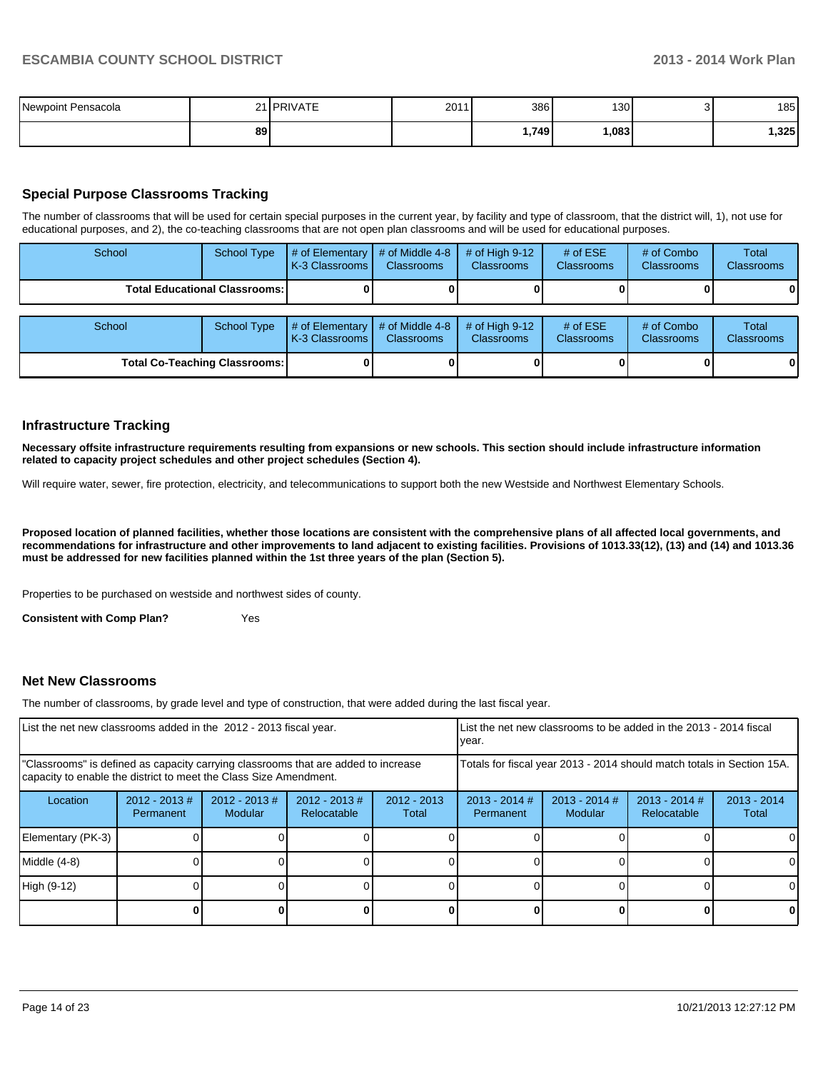| Newpoint Pensacola |    | 21 <b>PRIVATE</b> | 2011 | 386   | 130  | 185   |
|--------------------|----|-------------------|------|-------|------|-------|
|                    | 89 |                   |      | 1,749 | .083 | 1,325 |

# **Special Purpose Classrooms Tracking**

The number of classrooms that will be used for certain special purposes in the current year, by facility and type of classroom, that the district will, 1), not use for educational purposes, and 2), the co-teaching classrooms that are not open plan classrooms and will be used for educational purposes.

| School                                 | <b>School Type</b> | # of Elementary<br>K-3 Classrooms | # of Middle 4-8<br><b>Classrooms</b> | # of High $9-12$<br><b>Classrooms</b> | # of $ESE$<br>Classrooms | # of Combo<br><b>Classrooms</b> | Total<br><b>Classrooms</b> |
|----------------------------------------|--------------------|-----------------------------------|--------------------------------------|---------------------------------------|--------------------------|---------------------------------|----------------------------|
| <b>Total Educational Classrooms: I</b> |                    |                                   |                                      |                                       |                          |                                 | 01                         |
| School                                 | <b>School Type</b> | # of Elementary<br>K-3 Classrooms | # of Middle 4-8<br><b>Classrooms</b> | # of High $9-12$<br><b>Classrooms</b> | # of $ESE$<br>Classrooms | # of Combo<br><b>Classrooms</b> | Total<br><b>Classrooms</b> |
| <b>Total Co-Teaching Classrooms:</b>   |                    |                                   |                                      |                                       |                          |                                 | 01                         |

### **Infrastructure Tracking**

**Necessary offsite infrastructure requirements resulting from expansions or new schools. This section should include infrastructure information related to capacity project schedules and other project schedules (Section 4).**

Will require water, sewer, fire protection, electricity, and telecommunications to support both the new Westside and Northwest Elementary Schools.

**Proposed location of planned facilities, whether those locations are consistent with the comprehensive plans of all affected local governments, and recommendations for infrastructure and other improvements to land adjacent to existing facilities. Provisions of 1013.33(12), (13) and (14) and 1013.36 must be addressed for new facilities planned within the 1st three years of the plan (Section 5).**

Properties to be purchased on westside and northwest sides of county.

**Consistent with Comp Plan?** Yes

#### **Net New Classrooms**

The number of classrooms, by grade level and type of construction, that were added during the last fiscal year.

| List the net new classrooms added in the 2012 - 2013 fiscal year.                                                                                       |                               |                             |                                |                                                                        | List the net new classrooms to be added in the 2013 - 2014 fiscal<br>vear. |                            |                                |                        |  |
|---------------------------------------------------------------------------------------------------------------------------------------------------------|-------------------------------|-----------------------------|--------------------------------|------------------------------------------------------------------------|----------------------------------------------------------------------------|----------------------------|--------------------------------|------------------------|--|
| "Classrooms" is defined as capacity carrying classrooms that are added to increase<br>capacity to enable the district to meet the Class Size Amendment. |                               |                             |                                | Totals for fiscal year 2013 - 2014 should match totals in Section 15A. |                                                                            |                            |                                |                        |  |
| Location                                                                                                                                                | $2012 - 2013 \#$<br>Permanent | $2012 - 2013 \#$<br>Modular | $2012 - 2013$ #<br>Relocatable | $2012 - 2013$<br>Total                                                 | $2013 - 2014$ #<br>Permanent                                               | $2013 - 2014$ #<br>Modular | $2013 - 2014$ #<br>Relocatable | $2013 - 2014$<br>Total |  |
| Elementary (PK-3)                                                                                                                                       |                               |                             |                                |                                                                        |                                                                            |                            |                                | 0                      |  |
| Middle (4-8)                                                                                                                                            |                               |                             |                                |                                                                        |                                                                            |                            |                                | $\Omega$               |  |
| High (9-12)                                                                                                                                             |                               |                             |                                |                                                                        |                                                                            |                            |                                | $\Omega$               |  |
|                                                                                                                                                         |                               |                             |                                |                                                                        |                                                                            |                            | n                              | $\mathbf{0}$           |  |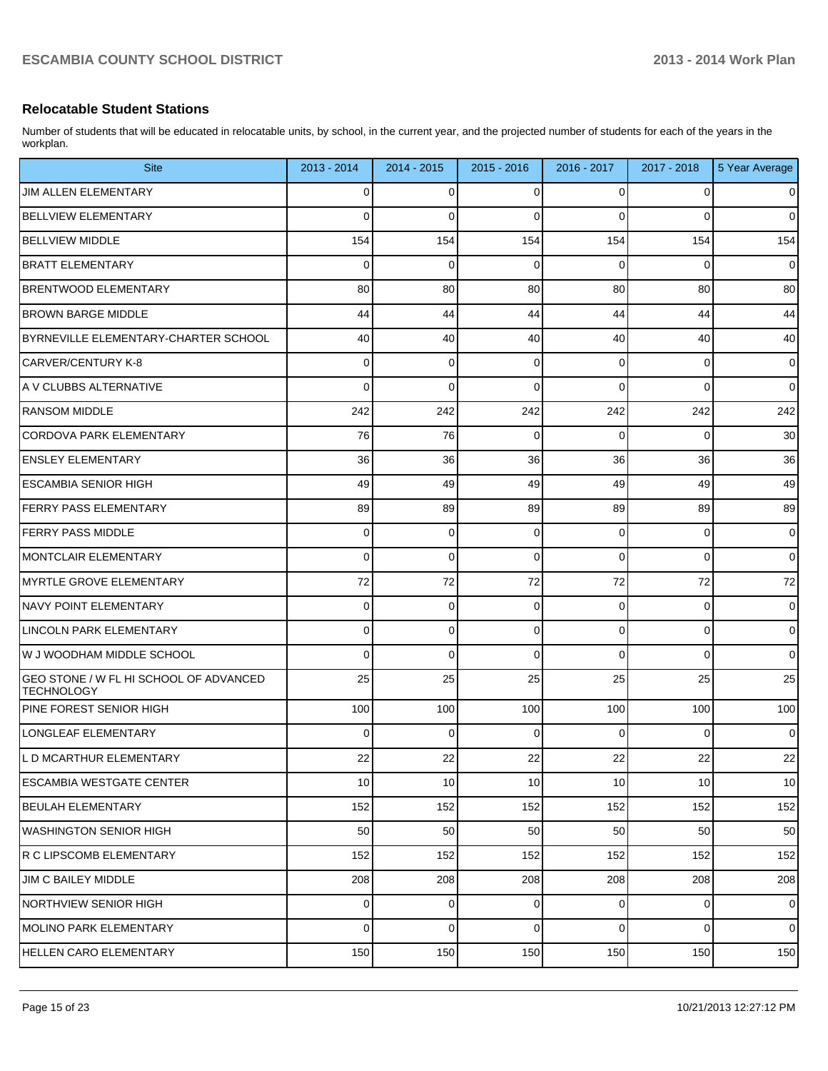# **Relocatable Student Stations**

Number of students that will be educated in relocatable units, by school, in the current year, and the projected number of students for each of the years in the workplan.

| <b>Site</b>                                                 | 2013 - 2014 | 2014 - 2015 | 2015 - 2016 | 2016 - 2017    | 2017 - 2018 | 5 Year Average |
|-------------------------------------------------------------|-------------|-------------|-------------|----------------|-------------|----------------|
| <b>JIM ALLEN ELEMENTARY</b>                                 | 0           | 0           | 0           | 0              | 0           | 0              |
| <b>BELLVIEW ELEMENTARY</b>                                  | 0           | 0           | 0           | 0              | 0           | $\mathbf 0$    |
| <b>BELLVIEW MIDDLE</b>                                      | 154         | 154         | 154         | 154            | 154         | 154            |
| <b>BRATT ELEMENTARY</b>                                     | 0           | $\mathbf 0$ | 0           | 0              | 0           | $\mathbf 0$    |
| <b>BRENTWOOD ELEMENTARY</b>                                 | 80          | 80          | 80          | 80             | 80          | 80             |
| <b>BROWN BARGE MIDDLE</b>                                   | 44          | 44          | 44          | 44             | 44          | 44             |
| BYRNEVILLE ELEMENTARY-CHARTER SCHOOL                        | 40          | 40          | 40          | 40             | 40          | 40             |
| CARVER/CENTURY K-8                                          | 0           | 0           | $\Omega$    | 0              | 0           | $\mathbf 0$    |
| A V CLUBBS ALTERNATIVE                                      | 0           | 0           | $\Omega$    | 0              | 0           | $\mathbf 0$    |
| <b>RANSOM MIDDLE</b>                                        | 242         | 242         | 242         | 242            | 242         | 242            |
| ICORDOVA PARK ELEMENTARY                                    | 76          | 76          | 0           | 0              | 0           | 30             |
| <b>ENSLEY ELEMENTARY</b>                                    | 36          | 36          | 36          | 36             | 36          | 36             |
| ESCAMBIA SENIOR HIGH                                        | 49          | 49          | 49          | 49             | 49          | 49             |
| <b>FERRY PASS ELEMENTARY</b>                                | 89          | 89          | 89          | 89             | 89          | 89             |
| <b>FERRY PASS MIDDLE</b>                                    | 0           | 0           | $\mathbf 0$ | 0              | 0           | $\mathbf 0$    |
| MONTCLAIR ELEMENTARY                                        | 0           | 0           | $\mathbf 0$ | 0              | 0           | $\mathbf 0$    |
| MYRTLE GROVE ELEMENTARY                                     | 72          | 72          | 72          | 72             | 72          | 72             |
| NAVY POINT ELEMENTARY                                       | 0           | 0           | $\Omega$    | 0              | 0           | $\mathbf 0$    |
| LINCOLN PARK ELEMENTARY                                     | 0           | 0           | $\mathbf 0$ | 0              | 0           | $\mathbf 0$    |
| W J WOODHAM MIDDLE SCHOOL                                   | 0           | 0           | $\Omega$    | 0              | 0           | $\mathbf 0$    |
| GEO STONE / W FL HI SCHOOL OF ADVANCED<br><b>TECHNOLOGY</b> | 25          | 25          | 25          | 25             | 25          | 25             |
| <b>IPINE FOREST SENIOR HIGH</b>                             | 100         | 100         | 100         | 100            | 100         | 100            |
| LONGLEAF ELEMENTARY                                         | 0           | $\Omega$    | $\Omega$    | 0              | 0           | $\mathbf 0$    |
| L D MCARTHUR ELEMENTARY                                     | 22          | 22          | 22          | 22             | 22          | 22             |
| ESCAMBIA WESTGATE CENTER                                    | 10          | 10          | 10          | 10             | 10          | 10             |
| BEULAH ELEMENTARY                                           | 152         | 152         | 152         | 152            | 152         | 152            |
| WASHINGTON SENIOR HIGH                                      | 50          | 50          | 50          | 50             | 50          | 50             |
| R C LIPSCOMB ELEMENTARY                                     | 152         | 152         | 152         | 152            | 152         | 152            |
| <b>JIM C BAILEY MIDDLE</b>                                  | 208         | 208         | 208         | 208            | 208         | 208            |
| NORTHVIEW SENIOR HIGH                                       | $\Omega$    | 0           | 0           | $\overline{0}$ | 0           | $\mathbf 0$    |
| MOLINO PARK ELEMENTARY                                      | $\Omega$    | $\mathbf 0$ | $\mathbf 0$ | $\overline{0}$ | 0           | $\mathbf 0$    |
| <b>HELLEN CARO ELEMENTARY</b>                               | 150         | 150         | 150         | 150            | 150         | 150            |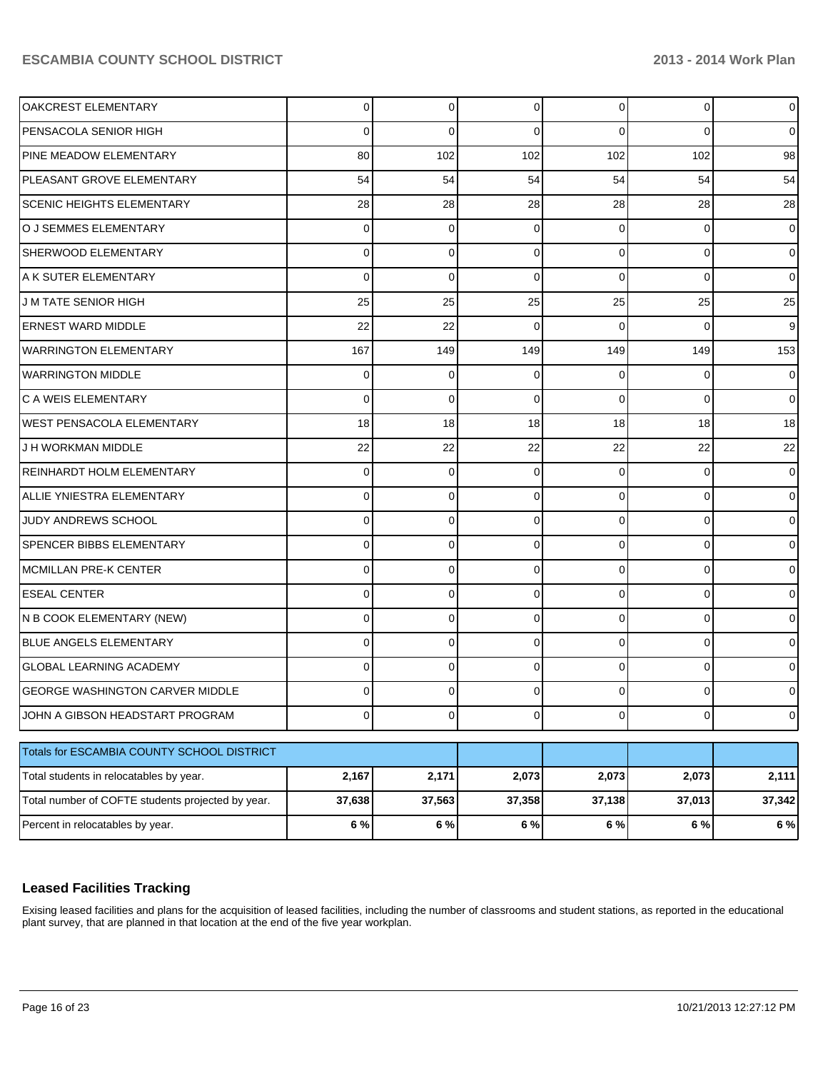| OAKCREST ELEMENTARY                               | $\overline{0}$ | 0              | 0              | 0              | 0              | $\mathsf{O}$   |
|---------------------------------------------------|----------------|----------------|----------------|----------------|----------------|----------------|
| PENSACOLA SENIOR HIGH                             | 0              | 0              | 0              | $\Omega$       | 0              | 0              |
| PINE MEADOW ELEMENTARY                            | 80             | 102            | 102            | 102            | 102            | 98             |
| PLEASANT GROVE ELEMENTARY                         | 54             | 54             | 54             | 54             | 54             | 54             |
| <b>SCENIC HEIGHTS ELEMENTARY</b>                  | 28             | 28             | 28             | 28             | 28             | 28             |
| O J SEMMES ELEMENTARY                             | $\overline{0}$ | 0              | 0              | $\Omega$       | 0              | 0              |
| <b>SHERWOOD ELEMENTARY</b>                        | 0              | 0              | $\Omega$       | $\Omega$       | 0              | 0              |
| IA K SUTER ELEMENTARY                             | 0              | 0              | 0              | $\Omega$       | $\Omega$       | 0              |
| <b>JM TATE SENIOR HIGH</b>                        | 25             | 25             | 25             | 25             | 25             | 25             |
| <b>ERNEST WARD MIDDLE</b>                         | 22             | 22             | $\Omega$       | $\Omega$       | 0              | 9              |
| <b>WARRINGTON ELEMENTARY</b>                      | 167            | 149            | 149            | 149            | 149            | 153            |
| <b>WARRINGTON MIDDLE</b>                          | 0              | 0              | 0              | 0              | 0              | 0              |
| <b>C A WEIS ELEMENTARY</b>                        | 0              | 0              | $\Omega$       | $\Omega$       | $\Omega$       | 0              |
| <b>WEST PENSACOLA ELEMENTARY</b>                  | 18             | 18             | 18             | 18             | 18             | 18             |
| J H WORKMAN MIDDLE                                | 22             | 22             | 22             | 22             | 22             | 22             |
| <b>REINHARDT HOLM ELEMENTARY</b>                  | $\overline{0}$ | 0              | 0              | $\Omega$       | 0              | 0              |
| ALLIE YNIESTRA ELEMENTARY                         | 0              | 0              | 0              | $\Omega$       | 0              | 0              |
| JUDY ANDREWS SCHOOL                               | 0              | 0              | 0              | $\Omega$       | 0              | 0              |
| <b>SPENCER BIBBS ELEMENTARY</b>                   | 0              | $\Omega$       | 0              | 0              | 0              | 0              |
| MCMILLAN PRE-K CENTER                             | 0              | 0              | 0              | $\Omega$       | 0              | 0              |
| <b>ESEAL CENTER</b>                               | 0              | 0              | 0              | 0              | 0              | 0              |
| N B COOK ELEMENTARY (NEW)                         | 0              | 0              | $\Omega$       | $\Omega$       | 0              | 0              |
| <b>BLUE ANGELS ELEMENTARY</b>                     | 0              | 0              | 0              | 0              | $\Omega$       | 0              |
| <b>GLOBAL LEARNING ACADEMY</b>                    | 0              | $\Omega$       | 0              | 0              | 0              | 0              |
| <b>GEORGE WASHINGTON CARVER MIDDLE</b>            | 0              | 0              | 0              | 0              | 0              | 0              |
| JOHN A GIBSON HEADSTART PROGRAM                   | $\overline{0}$ | $\overline{0}$ | $\overline{0}$ | $\overline{0}$ | $\overline{0}$ | $\overline{0}$ |
| Totals for ESCAMBIA COUNTY SCHOOL DISTRICT        |                |                |                |                |                |                |
| Total students in relocatables by year.           | 2,167          | 2,171          | 2,073          | 2,073          | 2,073          | 2,111          |
| Total number of COFTE students projected by year. | 37,638         | 37,563         | 37,358         | 37,138         | 37,013         | 37,342         |
| Percent in relocatables by year.                  | 6 %            | 6 %            | 6 %            | 6 %            | 6 %            | 6%             |

# **Leased Facilities Tracking**

Exising leased facilities and plans for the acquisition of leased facilities, including the number of classrooms and student stations, as reported in the educational plant survey, that are planned in that location at the end of the five year workplan.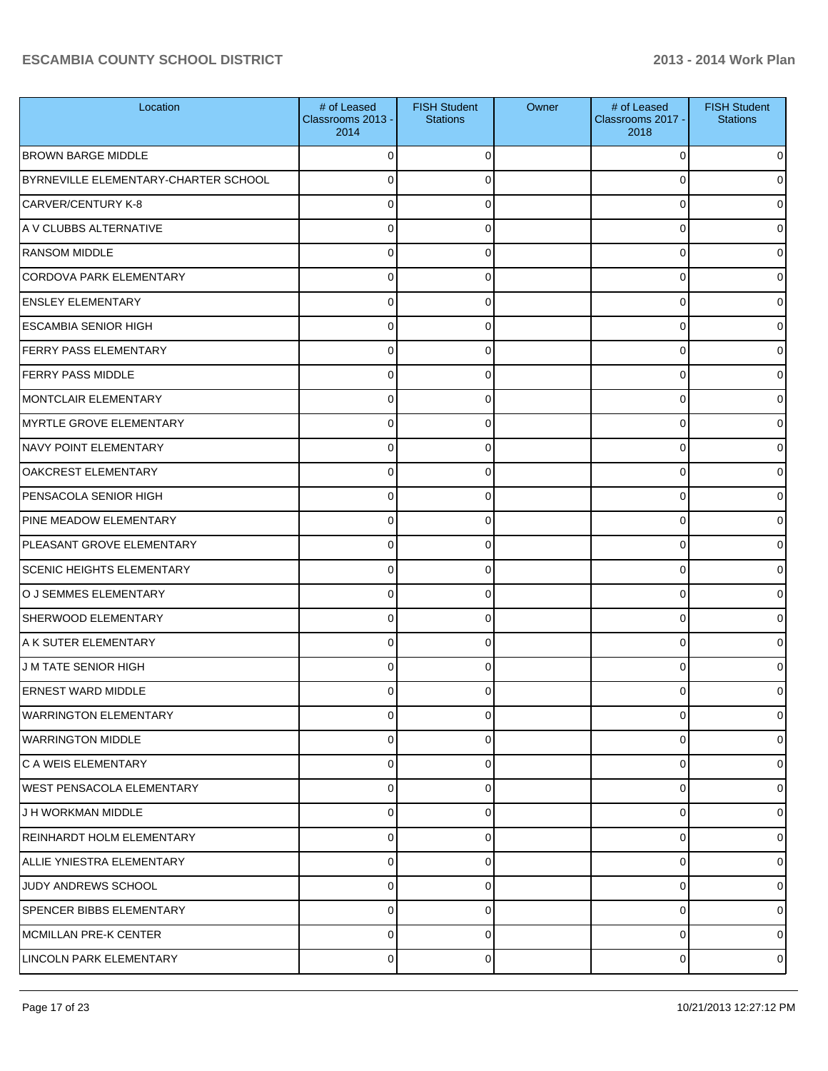| Location                             | # of Leased<br>Classrooms 2013 -<br>2014 | <b>FISH Student</b><br><b>Stations</b> | Owner | # of Leased<br>Classrooms 2017 -<br>2018 | <b>FISH Student</b><br><b>Stations</b> |
|--------------------------------------|------------------------------------------|----------------------------------------|-------|------------------------------------------|----------------------------------------|
| <b>BROWN BARGE MIDDLE</b>            | $\Omega$                                 | 0                                      |       | 0                                        | 0                                      |
| BYRNEVILLE ELEMENTARY-CHARTER SCHOOL | $\Omega$                                 | 0                                      |       | 0                                        | 0                                      |
| <b>CARVER/CENTURY K-8</b>            | $\Omega$                                 | 0                                      |       | 0                                        | 0                                      |
| A V CLUBBS ALTERNATIVE               | $\Omega$                                 | $\Omega$                               |       | 0                                        | 01                                     |
| <b>RANSOM MIDDLE</b>                 | $\Omega$                                 | $\Omega$                               |       | 0                                        | 0                                      |
| <b>CORDOVA PARK ELEMENTARY</b>       | $\Omega$                                 | $\Omega$                               |       | 0                                        | 0                                      |
| <b>ENSLEY ELEMENTARY</b>             | $\Omega$                                 | $\Omega$                               |       | 0                                        | 0                                      |
| <b>ESCAMBIA SENIOR HIGH</b>          | $\Omega$                                 | $\Omega$                               |       | 0                                        | 0                                      |
| <b>FERRY PASS ELEMENTARY</b>         | $\Omega$                                 | 0                                      |       | 0                                        | 0                                      |
| <b>FERRY PASS MIDDLE</b>             | $\Omega$                                 | $\Omega$                               |       | 0                                        | 01                                     |
| MONTCLAIR ELEMENTARY                 | $\Omega$                                 | $\Omega$                               |       | 0                                        | 0                                      |
| MYRTLE GROVE ELEMENTARY              | $\Omega$                                 | $\Omega$                               |       | 0                                        | 0                                      |
| NAVY POINT ELEMENTARY                | $\Omega$                                 | $\Omega$                               |       | 0                                        | 0                                      |
| <b>OAKCREST ELEMENTARY</b>           | $\Omega$                                 | $\Omega$                               |       | 0                                        | 01                                     |
| PENSACOLA SENIOR HIGH                | $\Omega$                                 | 0                                      |       | 0                                        | 0                                      |
| PINE MEADOW ELEMENTARY               | $\Omega$                                 | $\Omega$                               |       | 0                                        | 0                                      |
| PLEASANT GROVE ELEMENTARY            | $\Omega$                                 | $\Omega$                               |       | 0                                        | 0                                      |
| <b>SCENIC HEIGHTS ELEMENTARY</b>     | $\Omega$                                 | $\Omega$                               |       | 0                                        | 0                                      |
| O J SEMMES ELEMENTARY                | $\Omega$                                 | 0                                      |       | 0                                        | 0                                      |
| <b>SHERWOOD ELEMENTARY</b>           | $\Omega$                                 | $\Omega$                               |       | 0                                        | 01                                     |
| IA K SUTER ELEMENTARY                | $\Omega$                                 | $\Omega$                               |       | 0                                        | 0                                      |
| <b>JM TATE SENIOR HIGH</b>           | $\Omega$                                 | $\Omega$                               |       | 0                                        | 0                                      |
| <b>ERNEST WARD MIDDLE</b>            | $\Omega$                                 | $\Omega$                               |       | U                                        | 0                                      |
| <b>WARRINGTON ELEMENTARY</b>         | $\overline{0}$                           | $\Omega$                               |       | $\overline{0}$                           | $\overline{0}$                         |
| <b>WARRINGTON MIDDLE</b>             | $\mathbf 0$                              | 0                                      |       | 0                                        | $\overline{0}$                         |
| C A WEIS ELEMENTARY                  | $\mathbf 0$                              | $\Omega$                               |       | 0                                        | $\overline{0}$                         |
| <b>WEST PENSACOLA ELEMENTARY</b>     | $\mathbf 0$                              | $\Omega$                               |       | 0                                        | $\overline{0}$                         |
| J H WORKMAN MIDDLE                   | $\mathbf 0$                              | $\Omega$                               |       | 0                                        | $\overline{0}$                         |
| REINHARDT HOLM ELEMENTARY            | $\mathbf 0$                              | $\Omega$                               |       | 0                                        | $\overline{0}$                         |
| ALLIE YNIESTRA ELEMENTARY            | $\mathbf 0$                              | $\Omega$                               |       | 0                                        | $\overline{0}$                         |
| JUDY ANDREWS SCHOOL                  | $\mathbf 0$                              | $\Omega$                               |       | 0                                        | $\overline{0}$                         |
| SPENCER BIBBS ELEMENTARY             | $\mathbf 0$                              | $\Omega$                               |       | 0                                        | $\overline{0}$                         |
| MCMILLAN PRE-K CENTER                | $\mathbf 0$                              | 0                                      |       | 0                                        | $\overline{0}$                         |
| LINCOLN PARK ELEMENTARY              | $\pmb{0}$                                | 0                                      |       | 0                                        | $\overline{0}$                         |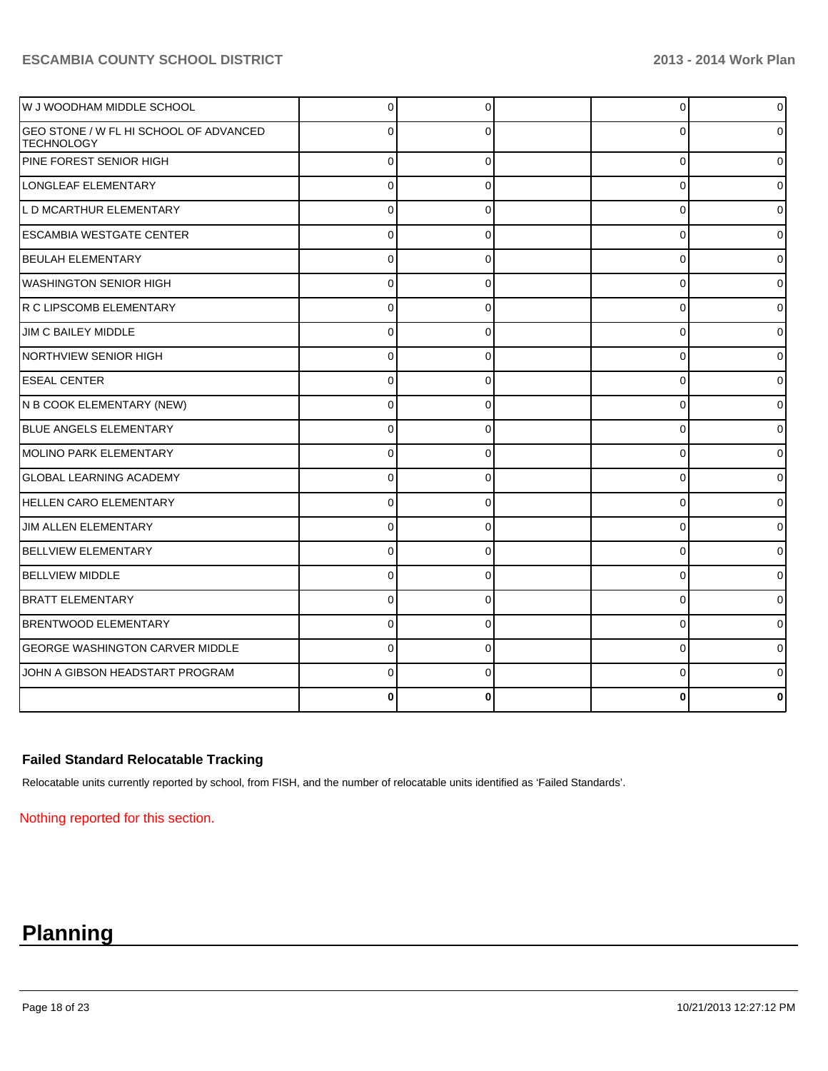| W J WOODHAM MIDDLE SCHOOL                                   | $\overline{0}$ | $\Omega$     | $\overline{0}$ | $\overline{0}$ |
|-------------------------------------------------------------|----------------|--------------|----------------|----------------|
| GEO STONE / W FL HI SCHOOL OF ADVANCED<br><b>TECHNOLOGY</b> | $\Omega$       | O            | $\Omega$       | 01             |
| PINE FOREST SENIOR HIGH                                     | $\Omega$       | $\Omega$     | 0              | 0              |
| LONGLEAF ELEMENTARY                                         | $\overline{0}$ | $\mathbf{0}$ | $\Omega$       | 0              |
| L D MCARTHUR ELEMENTARY                                     | $\Omega$       | $\Omega$     | $\Omega$       | U              |
| <b>ESCAMBIA WESTGATE CENTER</b>                             | $\Omega$       | $\Omega$     | $\Omega$       | 0              |
| BEULAH ELEMENTARY                                           | $\Omega$       | $\Omega$     | $\Omega$       | 0              |
| <b>WASHINGTON SENIOR HIGH</b>                               | $\Omega$       | $\Omega$     | 0              | 01             |
| IR C LIPSCOMB ELEMENTARY                                    | $\Omega$       | $\Omega$     | $\Omega$       | Οl             |
| JIM C BAILEY MIDDLE                                         | $\Omega$       | O            | 0              | 01             |
| <b>NORTHVIEW SENIOR HIGH</b>                                | $\Omega$       |              | $\Omega$       | 0              |
| <b>ESEAL CENTER</b>                                         | 0              | n            | 0              | 01             |
| N B COOK ELEMENTARY (NEW)                                   | $\Omega$       |              | $\Omega$       | 0              |
| BLUE ANGELS ELEMENTARY                                      | $\Omega$       | 0            | $\Omega$       | 0              |
| MOLINO PARK ELEMENTARY                                      | 0              |              | 0              | 0              |
| <b>GLOBAL LEARNING ACADEMY</b>                              | $\Omega$       | $\Omega$     | 0              | 01             |
| <b>HELLEN CARO ELEMENTARY</b>                               | $\Omega$       | O            | 0              | 0              |
| <b>JIM ALLEN ELEMENTARY</b>                                 | $\Omega$       | $\Omega$     | 0              | 0              |
| <b>BELLVIEW ELEMENTARY</b>                                  | $\Omega$       | $\Omega$     | 0              | 0              |
| BELLVIEW MIDDLE                                             | $\Omega$       | $\Omega$     | $\Omega$       | 0              |
| <b>BRATT ELEMENTARY</b>                                     | $\Omega$       | $\Omega$     | 0              | $\Omega$       |
| <b>BRENTWOOD ELEMENTARY</b>                                 | $\Omega$       | $\Omega$     | 0              | $\overline{0}$ |
| <b>GEORGE WASHINGTON CARVER MIDDLE</b>                      | $\Omega$       | $\Omega$     | $\Omega$       | 01             |
| JOHN A GIBSON HEADSTART PROGRAM                             | $\Omega$       | 0            | 0              | 0              |
|                                                             |                |              |                | 0              |

# **Failed Standard Relocatable Tracking**

Relocatable units currently reported by school, from FISH, and the number of relocatable units identified as 'Failed Standards'.

Nothing reported for this section.

# **Planning**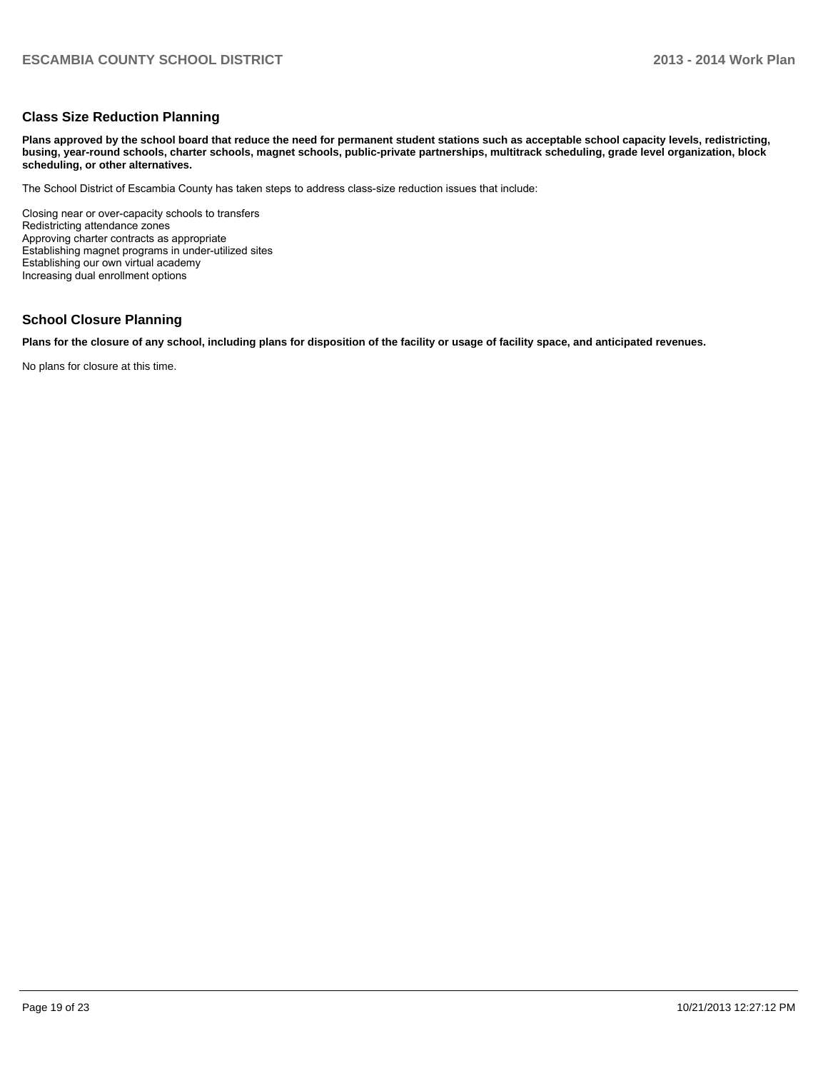### **Class Size Reduction Planning**

**Plans approved by the school board that reduce the need for permanent student stations such as acceptable school capacity levels, redistricting, busing, year-round schools, charter schools, magnet schools, public-private partnerships, multitrack scheduling, grade level organization, block scheduling, or other alternatives.**

The School District of Escambia County has taken steps to address class-size reduction issues that include:

Closing near or over-capacity schools to transfers Redistricting attendance zones Approving charter contracts as appropriate Establishing magnet programs in under-utilized sites Establishing our own virtual academy Increasing dual enrollment options

### **School Closure Planning**

**Plans for the closure of any school, including plans for disposition of the facility or usage of facility space, and anticipated revenues.**

No plans for closure at this time.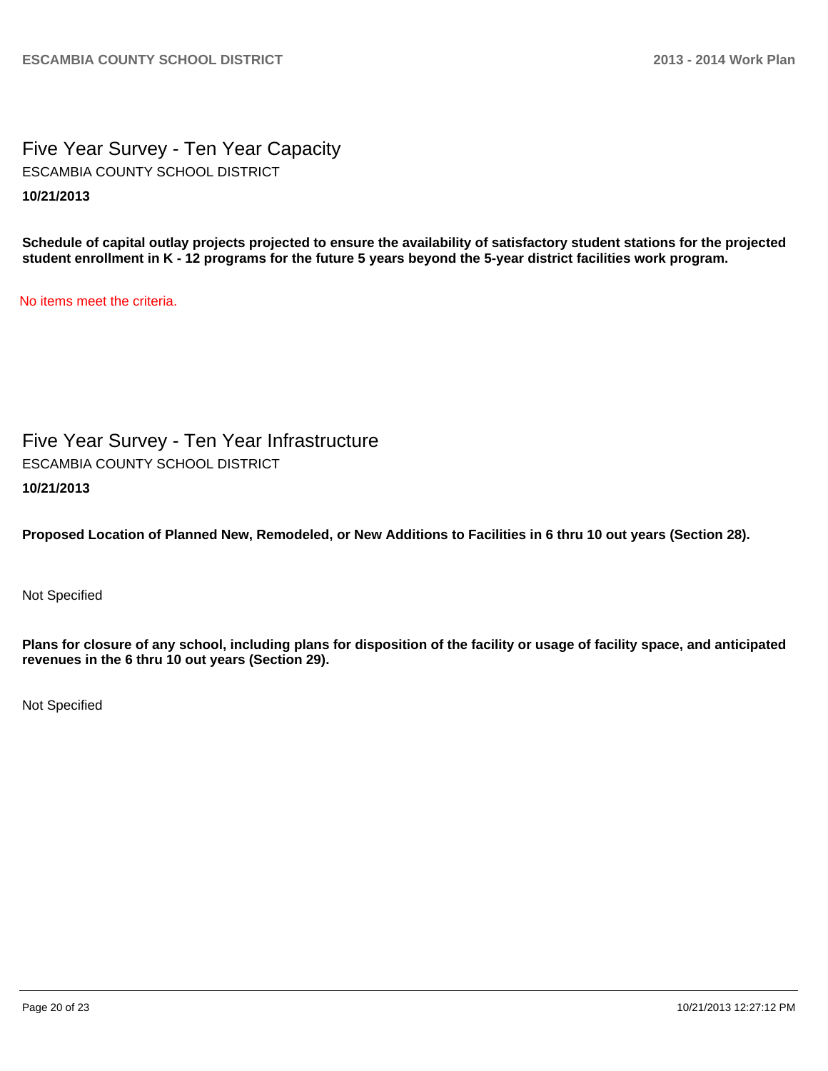Five Year Survey - Ten Year Capacity **10/21/2013** ESCAMBIA COUNTY SCHOOL DISTRICT

**Schedule of capital outlay projects projected to ensure the availability of satisfactory student stations for the projected student enrollment in K - 12 programs for the future 5 years beyond the 5-year district facilities work program.**

No items meet the criteria.

Five Year Survey - Ten Year Infrastructure **10/21/2013** ESCAMBIA COUNTY SCHOOL DISTRICT

**Proposed Location of Planned New, Remodeled, or New Additions to Facilities in 6 thru 10 out years (Section 28).**

Not Specified

**Plans for closure of any school, including plans for disposition of the facility or usage of facility space, and anticipated revenues in the 6 thru 10 out years (Section 29).**

Not Specified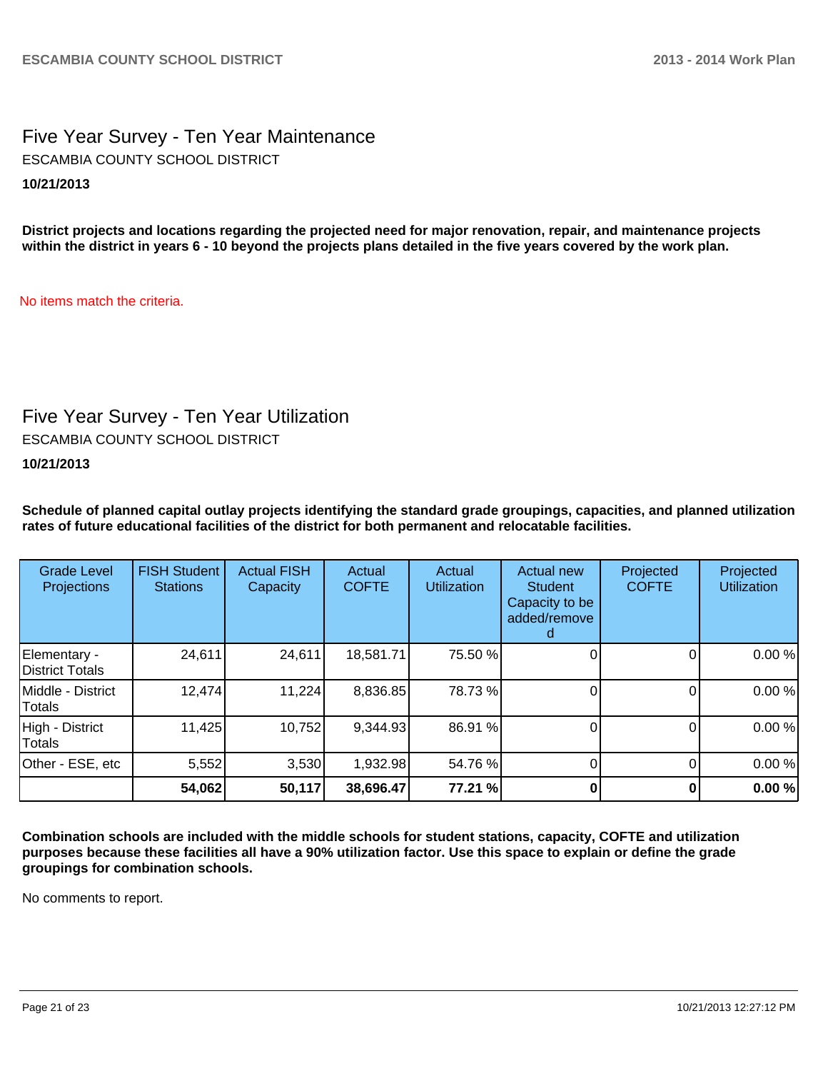Five Year Survey - Ten Year Maintenance **10/21/2013** ESCAMBIA COUNTY SCHOOL DISTRICT

**District projects and locations regarding the projected need for major renovation, repair, and maintenance projects within the district in years 6 - 10 beyond the projects plans detailed in the five years covered by the work plan.**

No items match the criteria.

# Five Year Survey - Ten Year Utilization

ESCAMBIA COUNTY SCHOOL DISTRICT

**10/21/2013**

**Schedule of planned capital outlay projects identifying the standard grade groupings, capacities, and planned utilization rates of future educational facilities of the district for both permanent and relocatable facilities.**

| <b>Grade Level</b><br>Projections | <b>FISH Student</b><br><b>Stations</b> | <b>Actual FISH</b><br>Capacity | Actual<br><b>COFTE</b> | Actual<br><b>Utilization</b> | Actual new<br><b>Student</b><br>Capacity to be<br>added/remove | Projected<br><b>COFTE</b> | Projected<br><b>Utilization</b> |
|-----------------------------------|----------------------------------------|--------------------------------|------------------------|------------------------------|----------------------------------------------------------------|---------------------------|---------------------------------|
| Elementary -<br>District Totals   | 24,611                                 | 24,611                         | 18,581.71              | 75.50 %                      |                                                                |                           | 0.00 %                          |
| Middle - District<br>Totals       | 12,474                                 | 11,224                         | 8,836.85               | 78.73%                       |                                                                |                           | 0.00%                           |
| High - District<br>Totals         | 11,425                                 | 10,752                         | 9,344.93               | 86.91 %                      |                                                                |                           | 0.00%                           |
| Other - ESE, etc                  | 5,552                                  | 3,530                          | 1,932.98               | 54.76 %                      |                                                                |                           | 0.00%                           |
|                                   | 54,062                                 | 50,117                         | 38,696.47              | 77.21 %                      |                                                                |                           | 0.00%                           |

**Combination schools are included with the middle schools for student stations, capacity, COFTE and utilization purposes because these facilities all have a 90% utilization factor. Use this space to explain or define the grade groupings for combination schools.**

No comments to report.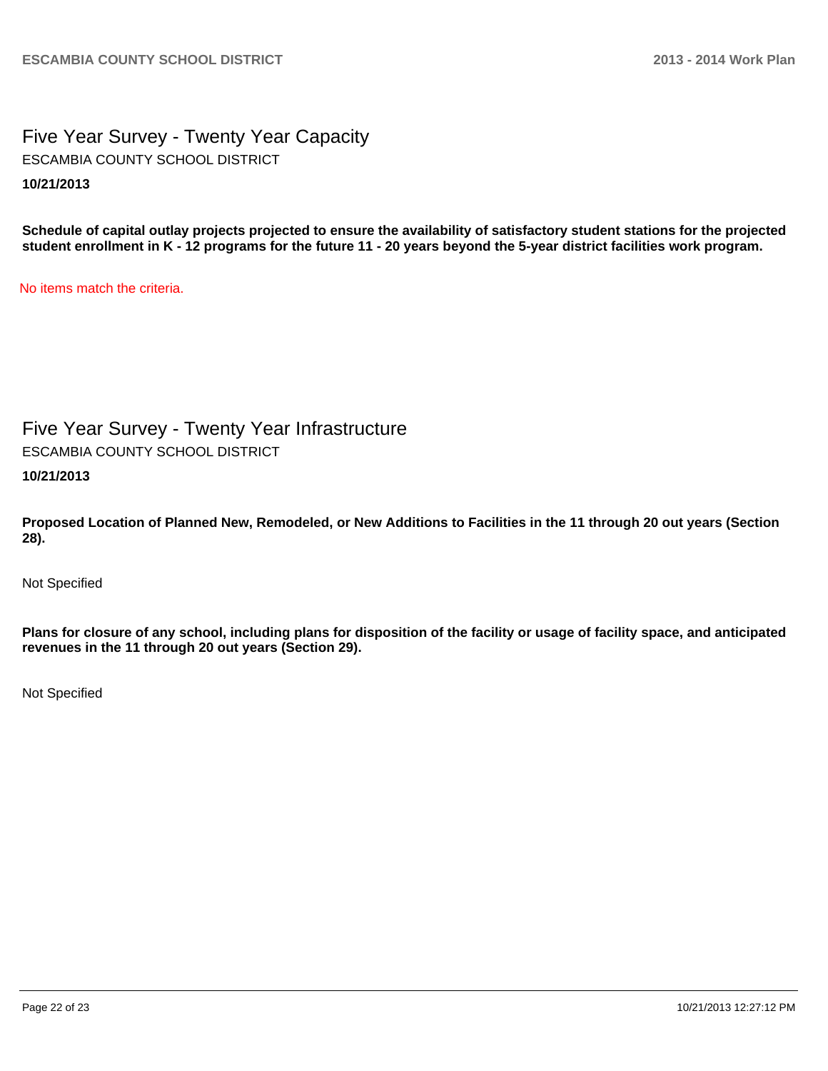Five Year Survey - Twenty Year Capacity **10/21/2013** ESCAMBIA COUNTY SCHOOL DISTRICT

**Schedule of capital outlay projects projected to ensure the availability of satisfactory student stations for the projected student enrollment in K - 12 programs for the future 11 - 20 years beyond the 5-year district facilities work program.**

No items match the criteria.

Five Year Survey - Twenty Year Infrastructure ESCAMBIA COUNTY SCHOOL DISTRICT

**10/21/2013**

**Proposed Location of Planned New, Remodeled, or New Additions to Facilities in the 11 through 20 out years (Section 28).**

Not Specified

**Plans for closure of any school, including plans for disposition of the facility or usage of facility space, and anticipated revenues in the 11 through 20 out years (Section 29).**

Not Specified